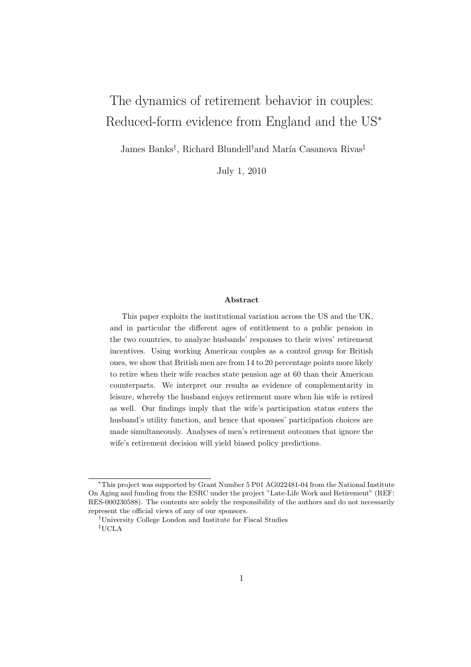# The dynamics of retirement behavior in couples: Reduced-form evidence from England and the US<sup>∗</sup>

James Banks<sup>†</sup>, Richard Blundell<sup>†</sup>and María Casanova Rivas<sup>‡</sup>

July 1, 2010

#### Abstract

This paper exploits the institutional variation across the US and the UK, and in particular the different ages of entitlement to a public pension in the two countries, to analyze husbands' responses to their wives' retirement incentives. Using working American couples as a control group for British ones, we show that British men are from 14 to 20 percentage points more likely to retire when their wife reaches state pension age at 60 than their American counterparts. We interpret our results as evidence of complementarity in leisure, whereby the husband enjoys retirement more when his wife is retired as well. Our findings imply that the wife's participation status enters the husband's utility function, and hence that spouses' participation choices are made simultaneously. Analyses of men's retirement outcomes that ignore the wife's retirement decision will yield biased policy predictions.

<sup>∗</sup>This project was supported by Grant Number 5 P01 AG022481-04 from the National Institute On Aging and funding from the ESRC under the project "Late-Life Work and Retirement" (REF: RES-000230588). The contents are solely the responsibility of the authors and do not necessarily represent the official views of any of our sponsors.

<sup>†</sup>University College London and Institute for Fiscal Studies ‡UCLA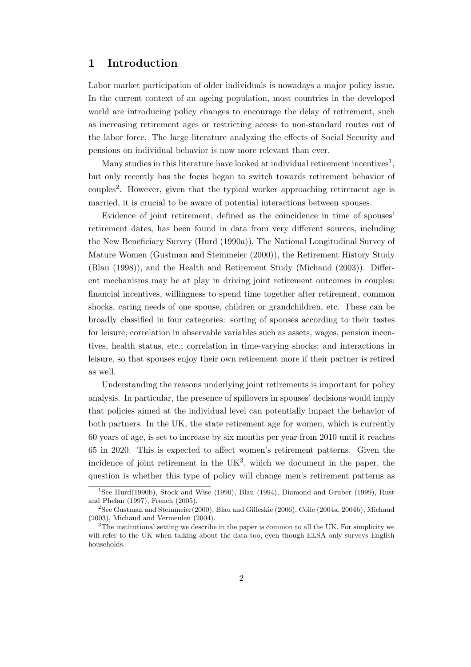## 1 Introduction

Labor market participation of older individuals is nowadays a major policy issue. In the current context of an ageing population, most countries in the developed world are introducing policy changes to encourage the delay of retirement, such as increasing retirement ages or restricting access to non-standard routes out of the labor force. The large literature analyzing the effects of Social Security and pensions on individual behavior is now more relevant than ever.

Many studies in this literature have looked at individual retirement incentives<sup>1</sup>, but only recently has the focus began to switch towards retirement behavior of couples<sup>2</sup>. However, given that the typical worker approaching retirement age is married, it is crucial to be aware of potential interactions between spouses.

Evidence of joint retirement, defined as the coincidence in time of spouses' retirement dates, has been found in data from very different sources, including the New Beneficiary Survey (Hurd (1990a)), The National Longitudinal Survey of Mature Women (Gustman and Steinmeier (2000)), the Retirement History Study (Blau (1998)), and the Health and Retirement Study (Michaud (2003)). Different mechanisms may be at play in driving joint retirement outcomes in couples: financial incentives, willingness to spend time together after retirement, common shocks, caring needs of one spouse, children or grandchildren, etc. These can be broadly classified in four categories: sorting of spouses according to their tastes for leisure; correlation in observable variables such as assets, wages, pension incentives, health status, etc.; correlation in time-varying shocks; and interactions in leisure, so that spouses enjoy their own retirement more if their partner is retired as well.

Understanding the reasons underlying joint retirements is important for policy analysis. In particular, the presence of spillovers in spouses' decisions would imply that policies aimed at the individual level can potentially impact the behavior of both partners. In the UK, the state retirement age for women, which is currently 60 years of age, is set to increase by six months per year from 2010 until it reaches 65 in 2020. This is expected to affect women's retirement patterns. Given the incidence of joint retirement in the  $UK<sup>3</sup>$ , which we document in the paper, the question is whether this type of policy will change men's retirement patterns as

<sup>&</sup>lt;sup>1</sup>See Hurd(1990b), Stock and Wise (1990), Blau (1994), Diamond and Gruber (1999), Rust and Phelan (1997), French (2005).

<sup>2</sup>See Gustman and Steinmeier(2000), Blau and Gilleskie (2006), Coile (2004a, 2004b), Michaud (2003), Michaud and Vermeulen (2004).

 $3$ The institutional setting we describe in the paper is common to all the UK. For simplicity we will refer to the UK when talking about the data too, even though ELSA only surveys English households.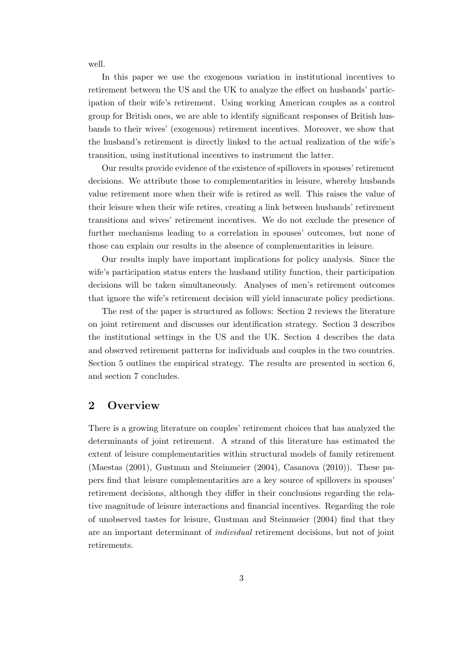well.

In this paper we use the exogenous variation in institutional incentives to retirement between the US and the UK to analyze the effect on husbands' participation of their wife's retirement. Using working American couples as a control group for British ones, we are able to identify significant responses of British husbands to their wives' (exogenous) retirement incentives. Moreover, we show that the husband's retirement is directly linked to the actual realization of the wife's transition, using institutional incentives to instrument the latter.

Our results provide evidence of the existence of spillovers in spouses' retirement decisions. We attribute those to complementarities in leisure, whereby husbands value retirement more when their wife is retired as well. This raises the value of their leisure when their wife retires, creating a link between husbands' retirement transitions and wives' retirement incentives. We do not exclude the presence of further mechanisms leading to a correlation in spouses' outcomes, but none of those can explain our results in the absence of complementarities in leisure.

Our results imply have important implications for policy analysis. Since the wife's participation status enters the husband utility function, their participation decisions will be taken simultaneously. Analyses of men's retirement outcomes that ignore the wife's retirement decision will yield innacurate policy predictions.

The rest of the paper is structured as follows: Section 2 reviews the literature on joint retirement and discusses our identification strategy. Section 3 describes the institutional settings in the US and the UK. Section 4 describes the data and observed retirement patterns for individuals and couples in the two countries. Section 5 outlines the empirical strategy. The results are presented in section 6, and section 7 concludes.

## 2 Overview

There is a growing literature on couples' retirement choices that has analyzed the determinants of joint retirement. A strand of this literature has estimated the extent of leisure complementarities within structural models of family retirement (Maestas (2001), Gustman and Steinmeier (2004), Casanova (2010)). These papers find that leisure complementarities are a key source of spillovers in spouses' retirement decisions, although they differ in their conclusions regarding the relative magnitude of leisure interactions and financial incentives. Regarding the role of unobserved tastes for leisure, Gustman and Steinmeier (2004) find that they are an important determinant of individual retirement decisions, but not of joint retirements.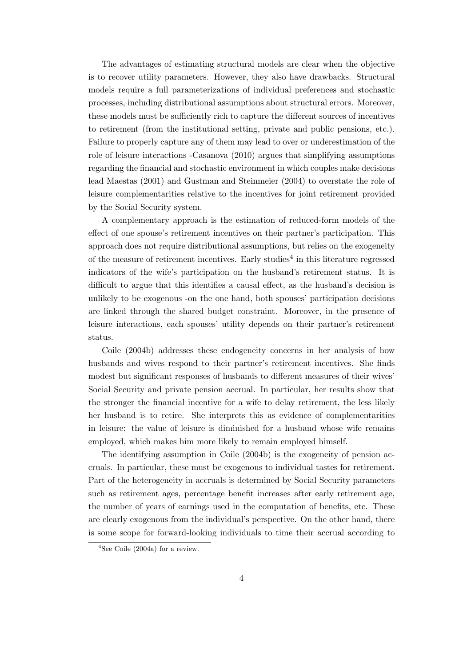The advantages of estimating structural models are clear when the objective is to recover utility parameters. However, they also have drawbacks. Structural models require a full parameterizations of individual preferences and stochastic processes, including distributional assumptions about structural errors. Moreover, these models must be sufficiently rich to capture the different sources of incentives to retirement (from the institutional setting, private and public pensions, etc.). Failure to properly capture any of them may lead to over or underestimation of the role of leisure interactions -Casanova (2010) argues that simplifying assumptions regarding the financial and stochastic environment in which couples make decisions lead Maestas (2001) and Gustman and Steinmeier (2004) to overstate the role of leisure complementarities relative to the incentives for joint retirement provided by the Social Security system.

A complementary approach is the estimation of reduced-form models of the effect of one spouse's retirement incentives on their partner's participation. This approach does not require distributional assumptions, but relies on the exogeneity of the measure of retirement incentives. Early studies<sup>4</sup> in this literature regressed indicators of the wife's participation on the husband's retirement status. It is difficult to argue that this identifies a causal effect, as the husband's decision is unlikely to be exogenous -on the one hand, both spouses' participation decisions are linked through the shared budget constraint. Moreover, in the presence of leisure interactions, each spouses' utility depends on their partner's retirement status.

Coile (2004b) addresses these endogeneity concerns in her analysis of how husbands and wives respond to their partner's retirement incentives. She finds modest but significant responses of husbands to different measures of their wives' Social Security and private pension accrual. In particular, her results show that the stronger the financial incentive for a wife to delay retirement, the less likely her husband is to retire. She interprets this as evidence of complementarities in leisure: the value of leisure is diminished for a husband whose wife remains employed, which makes him more likely to remain employed himself.

The identifying assumption in Coile (2004b) is the exogeneity of pension accruals. In particular, these must be exogenous to individual tastes for retirement. Part of the heterogeneity in accruals is determined by Social Security parameters such as retirement ages, percentage benefit increases after early retirement age, the number of years of earnings used in the computation of benefits, etc. These are clearly exogenous from the individual's perspective. On the other hand, there is some scope for forward-looking individuals to time their accrual according to

 $4$ See Coile (2004a) for a review.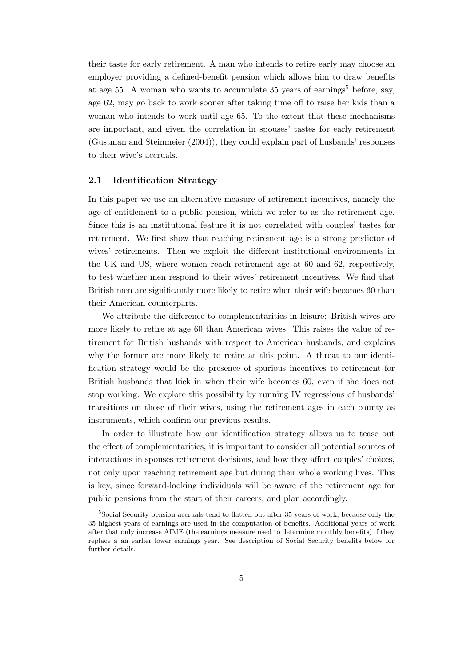their taste for early retirement. A man who intends to retire early may choose an employer providing a defined-benefit pension which allows him to draw benefits at age 55. A woman who wants to accumulate 35 years of earnings<sup>5</sup> before, say, age 62, may go back to work sooner after taking time off to raise her kids than a woman who intends to work until age 65. To the extent that these mechanisms are important, and given the correlation in spouses' tastes for early retirement (Gustman and Steinmeier (2004)), they could explain part of husbands' responses to their wive's accruals.

#### 2.1 Identification Strategy

In this paper we use an alternative measure of retirement incentives, namely the age of entitlement to a public pension, which we refer to as the retirement age. Since this is an institutional feature it is not correlated with couples' tastes for retirement. We first show that reaching retirement age is a strong predictor of wives' retirements. Then we exploit the different institutional environments in the UK and US, where women reach retirement age at 60 and 62, respectively, to test whether men respond to their wives' retirement incentives. We find that British men are significantly more likely to retire when their wife becomes 60 than their American counterparts.

We attribute the difference to complementarities in leisure: British wives are more likely to retire at age 60 than American wives. This raises the value of retirement for British husbands with respect to American husbands, and explains why the former are more likely to retire at this point. A threat to our identification strategy would be the presence of spurious incentives to retirement for British husbands that kick in when their wife becomes 60, even if she does not stop working. We explore this possibility by running IV regressions of husbands' transitions on those of their wives, using the retirement ages in each county as instruments, which confirm our previous results.

In order to illustrate how our identification strategy allows us to tease out the effect of complementarities, it is important to consider all potential sources of interactions in spouses retirement decisions, and how they affect couples' choices, not only upon reaching retirement age but during their whole working lives. This is key, since forward-looking individuals will be aware of the retirement age for public pensions from the start of their careers, and plan accordingly.

<sup>&</sup>lt;sup>5</sup>Social Security pension accruals tend to flatten out after 35 years of work, because only the 35 highest years of earnings are used in the computation of benefits. Additional years of work after that only increase AIME (the earnings measure used to determine monthly benefits) if they replace a an earlier lower earnings year. See description of Social Security benefits below for further details.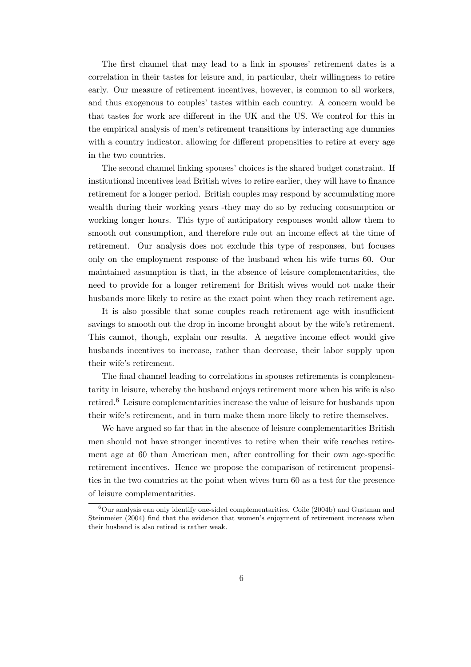The first channel that may lead to a link in spouses' retirement dates is a correlation in their tastes for leisure and, in particular, their willingness to retire early. Our measure of retirement incentives, however, is common to all workers, and thus exogenous to couples' tastes within each country. A concern would be that tastes for work are different in the UK and the US. We control for this in the empirical analysis of men's retirement transitions by interacting age dummies with a country indicator, allowing for different propensities to retire at every age in the two countries.

The second channel linking spouses' choices is the shared budget constraint. If institutional incentives lead British wives to retire earlier, they will have to finance retirement for a longer period. British couples may respond by accumulating more wealth during their working years -they may do so by reducing consumption or working longer hours. This type of anticipatory responses would allow them to smooth out consumption, and therefore rule out an income effect at the time of retirement. Our analysis does not exclude this type of responses, but focuses only on the employment response of the husband when his wife turns 60. Our maintained assumption is that, in the absence of leisure complementarities, the need to provide for a longer retirement for British wives would not make their husbands more likely to retire at the exact point when they reach retirement age.

It is also possible that some couples reach retirement age with insufficient savings to smooth out the drop in income brought about by the wife's retirement. This cannot, though, explain our results. A negative income effect would give husbands incentives to increase, rather than decrease, their labor supply upon their wife's retirement.

The final channel leading to correlations in spouses retirements is complementarity in leisure, whereby the husband enjoys retirement more when his wife is also retired.<sup>6</sup> Leisure complementarities increase the value of leisure for husbands upon their wife's retirement, and in turn make them more likely to retire themselves.

We have argued so far that in the absence of leisure complementarities British men should not have stronger incentives to retire when their wife reaches retirement age at 60 than American men, after controlling for their own age-specific retirement incentives. Hence we propose the comparison of retirement propensities in the two countries at the point when wives turn 60 as a test for the presence of leisure complementarities.

 $6$ Our analysis can only identify one-sided complementarities. Coile (2004b) and Gustman and Steinmeier (2004) find that the evidence that women's enjoyment of retirement increases when their husband is also retired is rather weak.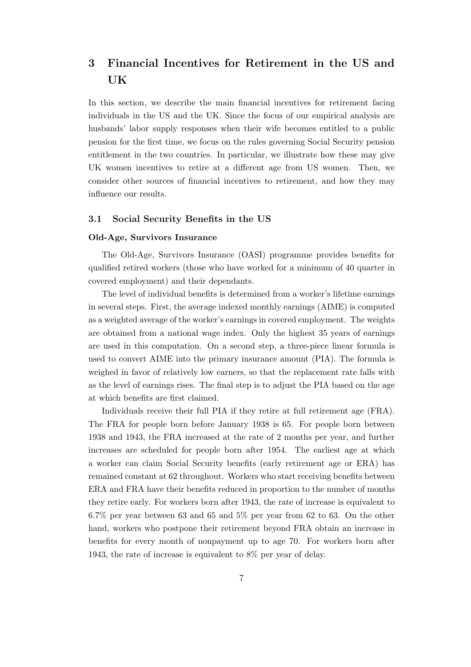## 3 Financial Incentives for Retirement in the US and UK

In this section, we describe the main financial incentives for retirement facing individuals in the US and the UK. Since the focus of our empirical analysis are husbands' labor supply responses when their wife becomes entitled to a public pension for the first time, we focus on the rules governing Social Security pension entitlement in the two countries. In particular, we illustrate how these may give UK women incentives to retire at a different age from US women. Then, we consider other sources of financial incentives to retirement, and how they may influence our results.

#### 3.1 Social Security Benefits in the US

#### Old-Age, Survivors Insurance

The Old-Age, Survivors Insurance (OASI) programme provides benefits for qualified retired workers (those who have worked for a minimum of 40 quarter in covered employment) and their dependants.

The level of individual benefits is determined from a worker's lifetime earnings in several steps. First, the average indexed monthly earnings (AIME) is computed as a weighted average of the worker's earnings in covered employment. The weights are obtained from a national wage index. Only the highest 35 years of earnings are used in this computation. On a second step, a three-piece linear formula is used to convert AIME into the primary insurance amount (PIA). The formula is weighed in favor of relatively low earners, so that the replacement rate falls with as the level of earnings rises. The final step is to adjust the PIA based on the age at which benefits are first claimed.

Individuals receive their full PIA if they retire at full retirement age (FRA). The FRA for people born before January 1938 is 65. For people born between 1938 and 1943, the FRA increased at the rate of 2 months per year, and further increases are scheduled for people born after 1954. The earliest age at which a worker can claim Social Security benefits (early retirement age or ERA) has remained constant at 62 throughout. Workers who start receiving benefits between ERA and FRA have their benefits reduced in proportion to the number of months they retire early. For workers born after 1943, the rate of increase is equivalent to 6.7% per year between 63 and 65 and 5% per year from 62 to 63. On the other hand, workers who postpone their retirement beyond FRA obtain an increase in benefits for every month of nonpayment up to age 70. For workers born after 1943, the rate of increase is equivalent to 8% per year of delay.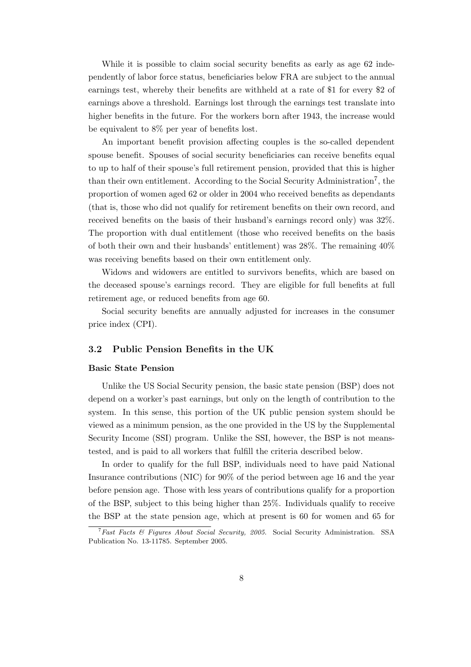While it is possible to claim social security benefits as early as age 62 independently of labor force status, beneficiaries below FRA are subject to the annual earnings test, whereby their benefits are withheld at a rate of \$1 for every \$2 of earnings above a threshold. Earnings lost through the earnings test translate into higher benefits in the future. For the workers born after 1943, the increase would be equivalent to 8% per year of benefits lost.

An important benefit provision affecting couples is the so-called dependent spouse benefit. Spouses of social security beneficiaries can receive benefits equal to up to half of their spouse's full retirement pension, provided that this is higher than their own entitlement. According to the Social Security Administration<sup>7</sup>, the proportion of women aged 62 or older in 2004 who received benefits as dependants (that is, those who did not qualify for retirement benefits on their own record, and received benefits on the basis of their husband's earnings record only) was 32%. The proportion with dual entitlement (those who received benefits on the basis of both their own and their husbands' entitlement) was 28%. The remaining 40% was receiving benefits based on their own entitlement only.

Widows and widowers are entitled to survivors benefits, which are based on the deceased spouse's earnings record. They are eligible for full benefits at full retirement age, or reduced benefits from age 60.

Social security benefits are annually adjusted for increases in the consumer price index (CPI).

#### 3.2 Public Pension Benefits in the UK

#### Basic State Pension

Unlike the US Social Security pension, the basic state pension (BSP) does not depend on a worker's past earnings, but only on the length of contribution to the system. In this sense, this portion of the UK public pension system should be viewed as a minimum pension, as the one provided in the US by the Supplemental Security Income (SSI) program. Unlike the SSI, however, the BSP is not meanstested, and is paid to all workers that fulfill the criteria described below.

In order to qualify for the full BSP, individuals need to have paid National Insurance contributions (NIC) for 90% of the period between age 16 and the year before pension age. Those with less years of contributions qualify for a proportion of the BSP, subject to this being higher than 25%. Individuals qualify to receive the BSP at the state pension age, which at present is 60 for women and 65 for

<sup>&</sup>lt;sup>7</sup>Fast Facts & Figures About Social Security, 2005. Social Security Administration. SSA Publication No. 13-11785. September 2005.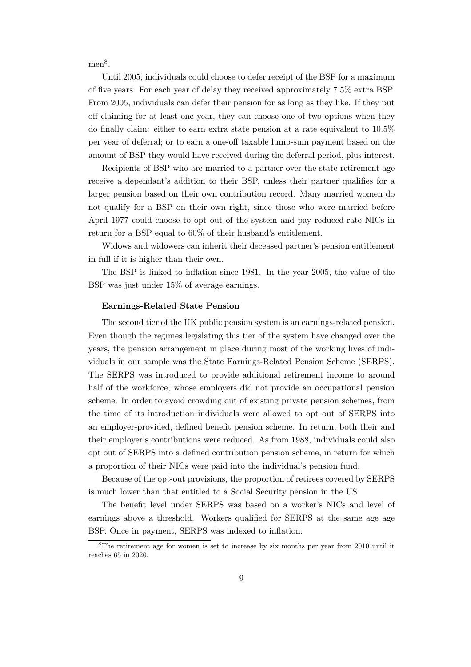men<sup>8</sup>.

Until 2005, individuals could choose to defer receipt of the BSP for a maximum of five years. For each year of delay they received approximately 7.5% extra BSP. From 2005, individuals can defer their pension for as long as they like. If they put off claiming for at least one year, they can choose one of two options when they do finally claim: either to earn extra state pension at a rate equivalent to 10.5% per year of deferral; or to earn a one-off taxable lump-sum payment based on the amount of BSP they would have received during the deferral period, plus interest.

Recipients of BSP who are married to a partner over the state retirement age receive a dependant's addition to their BSP, unless their partner qualifies for a larger pension based on their own contribution record. Many married women do not qualify for a BSP on their own right, since those who were married before April 1977 could choose to opt out of the system and pay reduced-rate NICs in return for a BSP equal to 60% of their husband's entitlement.

Widows and widowers can inherit their deceased partner's pension entitlement in full if it is higher than their own.

The BSP is linked to inflation since 1981. In the year 2005, the value of the BSP was just under 15% of average earnings.

#### Earnings-Related State Pension

The second tier of the UK public pension system is an earnings-related pension. Even though the regimes legislating this tier of the system have changed over the years, the pension arrangement in place during most of the working lives of individuals in our sample was the State Earnings-Related Pension Scheme (SERPS). The SERPS was introduced to provide additional retirement income to around half of the workforce, whose employers did not provide an occupational pension scheme. In order to avoid crowding out of existing private pension schemes, from the time of its introduction individuals were allowed to opt out of SERPS into an employer-provided, defined benefit pension scheme. In return, both their and their employer's contributions were reduced. As from 1988, individuals could also opt out of SERPS into a defined contribution pension scheme, in return for which a proportion of their NICs were paid into the individual's pension fund.

Because of the opt-out provisions, the proportion of retirees covered by SERPS is much lower than that entitled to a Social Security pension in the US.

The benefit level under SERPS was based on a worker's NICs and level of earnings above a threshold. Workers qualified for SERPS at the same age age BSP. Once in payment, SERPS was indexed to inflation.

<sup>8</sup>The retirement age for women is set to increase by six months per year from 2010 until it reaches 65 in 2020.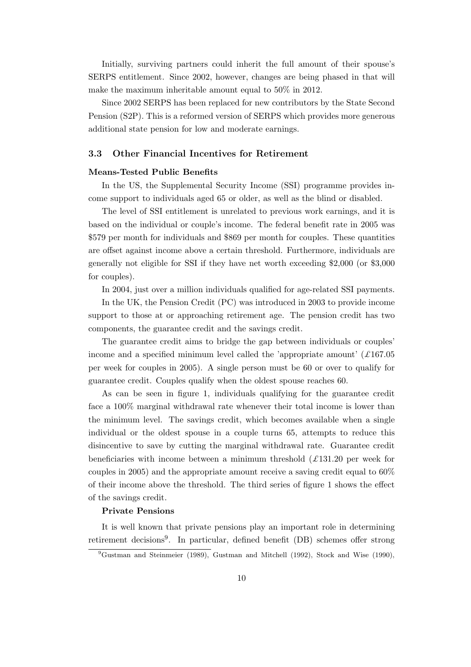Initially, surviving partners could inherit the full amount of their spouse's SERPS entitlement. Since 2002, however, changes are being phased in that will make the maximum inheritable amount equal to 50% in 2012.

Since 2002 SERPS has been replaced for new contributors by the State Second Pension (S2P). This is a reformed version of SERPS which provides more generous additional state pension for low and moderate earnings.

#### 3.3 Other Financial Incentives for Retirement

#### Means-Tested Public Benefits

In the US, the Supplemental Security Income (SSI) programme provides income support to individuals aged 65 or older, as well as the blind or disabled.

The level of SSI entitlement is unrelated to previous work earnings, and it is based on the individual or couple's income. The federal benefit rate in 2005 was \$579 per month for individuals and \$869 per month for couples. These quantities are offset against income above a certain threshold. Furthermore, individuals are generally not eligible for SSI if they have net worth exceeding \$2,000 (or \$3,000 for couples).

In 2004, just over a million individuals qualified for age-related SSI payments.

In the UK, the Pension Credit (PC) was introduced in 2003 to provide income support to those at or approaching retirement age. The pension credit has two components, the guarantee credit and the savings credit.

The guarantee credit aims to bridge the gap between individuals or couples' income and a specified minimum level called the 'appropriate amount'  $(£167.05)$ per week for couples in 2005). A single person must be 60 or over to qualify for guarantee credit. Couples qualify when the oldest spouse reaches 60.

As can be seen in figure 1, individuals qualifying for the guarantee credit face a 100% marginal withdrawal rate whenever their total income is lower than the minimum level. The savings credit, which becomes available when a single individual or the oldest spouse in a couple turns 65, attempts to reduce this disincentive to save by cutting the marginal withdrawal rate. Guarantee credit beneficiaries with income between a minimum threshold  $(\pounds 131.20 \text{ per week for})$ couples in 2005) and the appropriate amount receive a saving credit equal to 60% of their income above the threshold. The third series of figure 1 shows the effect of the savings credit.

#### Private Pensions

It is well known that private pensions play an important role in determining retirement decisions<sup>9</sup>. In particular, defined benefit (DB) schemes offer strong

 $^{9}$ Gustman and Steinmeier (1989), Gustman and Mitchell (1992), Stock and Wise (1990),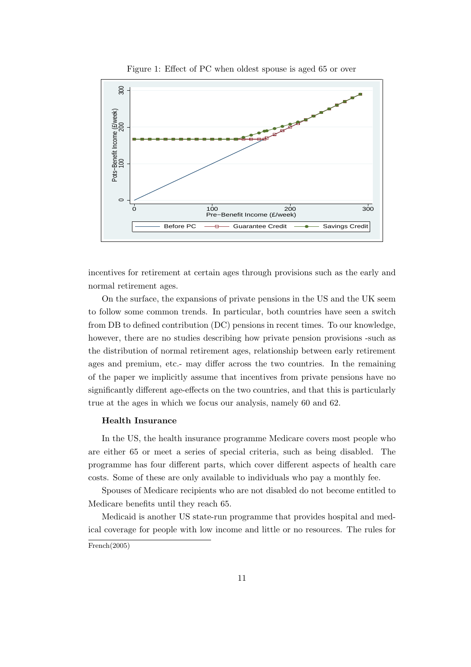

Figure 1: Effect of PC when oldest spouse is aged 65 or over

incentives for retirement at certain ages through provisions such as the early and normal retirement ages.

On the surface, the expansions of private pensions in the US and the UK seem to follow some common trends. In particular, both countries have seen a switch from DB to defined contribution (DC) pensions in recent times. To our knowledge, however, there are no studies describing how private pension provisions -such as the distribution of normal retirement ages, relationship between early retirement ages and premium, etc.- may differ across the two countries. In the remaining of the paper we implicitly assume that incentives from private pensions have no significantly different age-effects on the two countries, and that this is particularly true at the ages in which we focus our analysis, namely 60 and 62.

#### Health Insurance

In the US, the health insurance programme Medicare covers most people who are either 65 or meet a series of special criteria, such as being disabled. The programme has four different parts, which cover different aspects of health care costs. Some of these are only available to individuals who pay a monthly fee.

Spouses of Medicare recipients who are not disabled do not become entitled to Medicare benefits until they reach 65.

Medicaid is another US state-run programme that provides hospital and medical coverage for people with low income and little or no resources. The rules for

French(2005)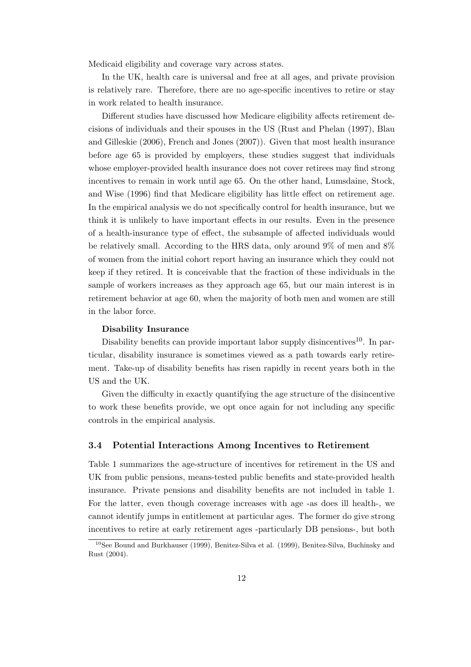Medicaid eligibility and coverage vary across states.

In the UK, health care is universal and free at all ages, and private provision is relatively rare. Therefore, there are no age-specific incentives to retire or stay in work related to health insurance.

Different studies have discussed how Medicare eligibility affects retirement decisions of individuals and their spouses in the US (Rust and Phelan (1997), Blau and Gilleskie (2006), French and Jones (2007)). Given that most health insurance before age 65 is provided by employers, these studies suggest that individuals whose employer-provided health insurance does not cover retirees may find strong incentives to remain in work until age 65. On the other hand, Lumsdaine, Stock, and Wise (1996) find that Medicare eligibility has little effect on retirement age. In the empirical analysis we do not specifically control for health insurance, but we think it is unlikely to have important effects in our results. Even in the presence of a health-insurance type of effect, the subsample of affected individuals would be relatively small. According to the HRS data, only around 9% of men and 8% of women from the initial cohort report having an insurance which they could not keep if they retired. It is conceivable that the fraction of these individuals in the sample of workers increases as they approach age 65, but our main interest is in retirement behavior at age 60, when the majority of both men and women are still in the labor force.

#### Disability Insurance

Disability benefits can provide important labor supply disincentives<sup>10</sup>. In particular, disability insurance is sometimes viewed as a path towards early retirement. Take-up of disability benefits has risen rapidly in recent years both in the US and the UK.

Given the difficulty in exactly quantifying the age structure of the disincentive to work these benefits provide, we opt once again for not including any specific controls in the empirical analysis.

#### 3.4 Potential Interactions Among Incentives to Retirement

Table 1 summarizes the age-structure of incentives for retirement in the US and UK from public pensions, means-tested public benefits and state-provided health insurance. Private pensions and disability benefits are not included in table 1. For the latter, even though coverage increases with age -as does ill health-, we cannot identify jumps in entitlement at particular ages. The former do give strong incentives to retire at early retirement ages -particularly DB pensions-, but both

<sup>10</sup>See Bound and Burkhauser (1999), Benitez-Silva et al. (1999), Benitez-Silva, Buchinsky and Rust (2004).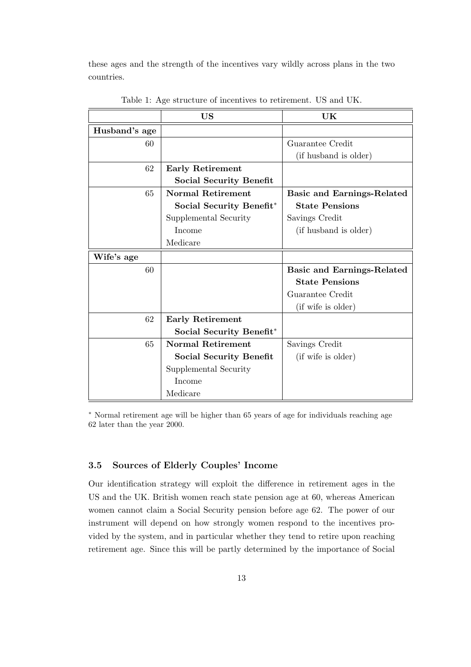these ages and the strength of the incentives vary wildly across plans in the two countries.

|               | US                             | UK                                |
|---------------|--------------------------------|-----------------------------------|
| Husband's age |                                |                                   |
| 60            |                                | Guarantee Credit                  |
|               |                                | (if husband is older)             |
| 62            | Early Retirement               |                                   |
|               | <b>Social Security Benefit</b> |                                   |
| 65            | <b>Normal Retirement</b>       | <b>Basic and Earnings-Related</b> |
|               | Social Security Benefit*       | <b>State Pensions</b>             |
|               | Supplemental Security          | Savings Credit                    |
|               | Income                         | (if husband is older)             |
|               | Medicare                       |                                   |
| Wife's age    |                                |                                   |
| 60            |                                | Basic and Earnings-Related        |
|               |                                | <b>State Pensions</b>             |
|               |                                | Guarantee Credit                  |
|               |                                | (if wife is older)                |
| 62            | <b>Early Retirement</b>        |                                   |
|               | Social Security Benefit*       |                                   |
| 65            | <b>Normal Retirement</b>       | Savings Credit                    |
|               | <b>Social Security Benefit</b> | (if wife is older)                |
|               | Supplemental Security          |                                   |
|               | Income                         |                                   |
|               | Medicare                       |                                   |

Table 1: Age structure of incentives to retirement. US and UK.

<sup>∗</sup> Normal retirement age will be higher than 65 years of age for individuals reaching age 62 later than the year 2000.

### 3.5 Sources of Elderly Couples' Income

Our identification strategy will exploit the difference in retirement ages in the US and the UK. British women reach state pension age at 60, whereas American women cannot claim a Social Security pension before age 62. The power of our instrument will depend on how strongly women respond to the incentives provided by the system, and in particular whether they tend to retire upon reaching retirement age. Since this will be partly determined by the importance of Social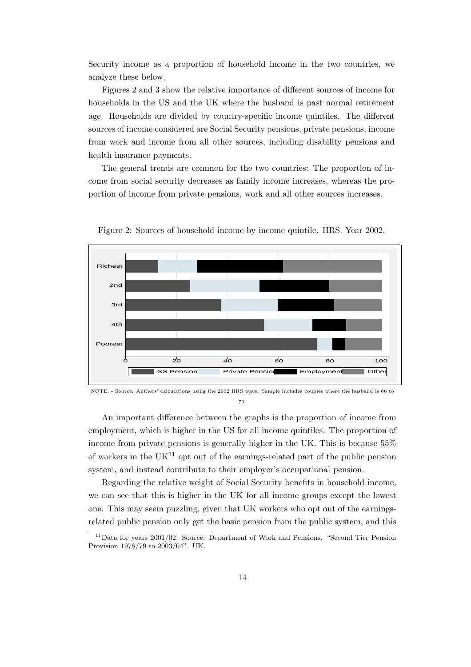Security income as a proportion of household income in the two countries, we analyze these below.

Figures 2 and 3 show the relative importance of different sources of income for households in the US and the UK where the husband is past normal retirement age. Households are divided by country-specific income quintiles. The different sources of income considered are Social Security pensions, private pensions, income from work and income from all other sources, including disability pensions and health insurance payments.

The general trends are common for the two countries: The proportion of income from social security decreases as family income increases, whereas the proportion of income from private pensions, work and all other sources increases.



Figure 2: Sources of household income by income quintile. HRS. Year 2002.

An important difference between the graphs is the proportion of income from employment, which is higher in the US for all income quintiles. The proportion of income from private pensions is generally higher in the UK. This is because 55% of workers in the  $UK<sup>11</sup>$  opt out of the earnings-related part of the public pension system, and instead contribute to their employer's occupational pension.

Regarding the relative weight of Social Security benefits in household income, we can see that this is higher in the UK for all income groups except the lowest one. This may seem puzzling, given that UK workers who opt out of the earningsrelated public pension only get the basic pension from the public system, and this

NOTE. - Source: Authors' calculations using the 2002 HRS wave. Sample includes couples where the husband is 66 to 70.

 $11$ Data for years 2001/02. Source: Department of Work and Pensions. "Second Tier Pension Provision 1978/79 to 2003/04". UK.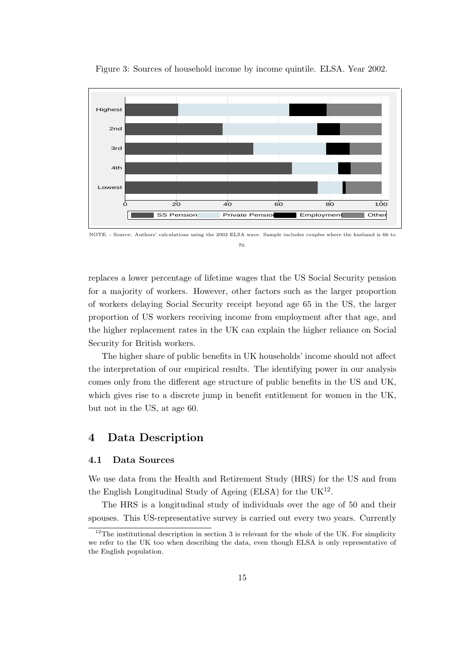

Figure 3: Sources of household income by income quintile. ELSA. Year 2002.

NOTE. - Source: Authors' calculations using the 2002 ELSA wave. Sample includes couples where the husband is 66 to

70.

replaces a lower percentage of lifetime wages that the US Social Security pension for a majority of workers. However, other factors such as the larger proportion of workers delaying Social Security receipt beyond age 65 in the US, the larger proportion of US workers receiving income from employment after that age, and the higher replacement rates in the UK can explain the higher reliance on Social Security for British workers.

The higher share of public benefits in UK households' income should not affect the interpretation of our empirical results. The identifying power in our analysis comes only from the different age structure of public benefits in the US and UK, which gives rise to a discrete jump in benefit entitlement for women in the UK, but not in the US, at age 60.

## 4 Data Description

#### 4.1 Data Sources

We use data from the Health and Retirement Study (HRS) for the US and from the English Longitudinal Study of Ageing (ELSA) for the  $UK^{12}$ .

The HRS is a longitudinal study of individuals over the age of 50 and their spouses. This US-representative survey is carried out every two years. Currently

 $12$ The institutional description in section 3 is relevant for the whole of the UK. For simplicity we refer to the UK too when describing the data, even though ELSA is only representative of the English population.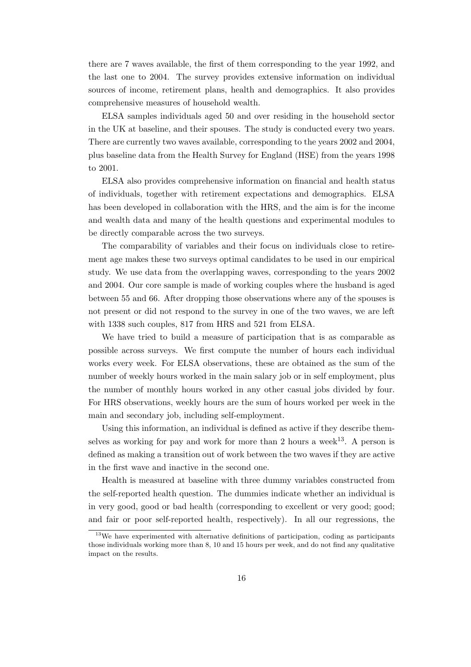there are 7 waves available, the first of them corresponding to the year 1992, and the last one to 2004. The survey provides extensive information on individual sources of income, retirement plans, health and demographics. It also provides comprehensive measures of household wealth.

ELSA samples individuals aged 50 and over residing in the household sector in the UK at baseline, and their spouses. The study is conducted every two years. There are currently two waves available, corresponding to the years 2002 and 2004, plus baseline data from the Health Survey for England (HSE) from the years 1998 to 2001.

ELSA also provides comprehensive information on financial and health status of individuals, together with retirement expectations and demographics. ELSA has been developed in collaboration with the HRS, and the aim is for the income and wealth data and many of the health questions and experimental modules to be directly comparable across the two surveys.

The comparability of variables and their focus on individuals close to retirement age makes these two surveys optimal candidates to be used in our empirical study. We use data from the overlapping waves, corresponding to the years 2002 and 2004. Our core sample is made of working couples where the husband is aged between 55 and 66. After dropping those observations where any of the spouses is not present or did not respond to the survey in one of the two waves, we are left with 1338 such couples, 817 from HRS and 521 from ELSA.

We have tried to build a measure of participation that is as comparable as possible across surveys. We first compute the number of hours each individual works every week. For ELSA observations, these are obtained as the sum of the number of weekly hours worked in the main salary job or in self employment, plus the number of monthly hours worked in any other casual jobs divided by four. For HRS observations, weekly hours are the sum of hours worked per week in the main and secondary job, including self-employment.

Using this information, an individual is defined as active if they describe themselves as working for pay and work for more than 2 hours a week<sup>13</sup>. A person is defined as making a transition out of work between the two waves if they are active in the first wave and inactive in the second one.

Health is measured at baseline with three dummy variables constructed from the self-reported health question. The dummies indicate whether an individual is in very good, good or bad health (corresponding to excellent or very good; good; and fair or poor self-reported health, respectively). In all our regressions, the

<sup>&</sup>lt;sup>13</sup>We have experimented with alternative definitions of participation, coding as participants those individuals working more than 8, 10 and 15 hours per week, and do not find any qualitative impact on the results.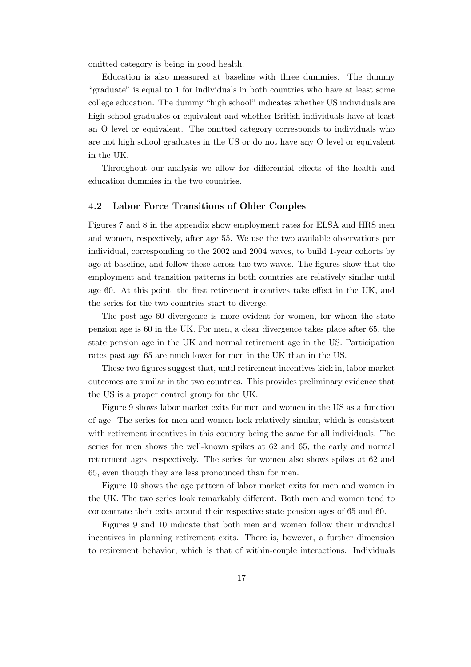omitted category is being in good health.

Education is also measured at baseline with three dummies. The dummy "graduate" is equal to 1 for individuals in both countries who have at least some college education. The dummy "high school" indicates whether US individuals are high school graduates or equivalent and whether British individuals have at least an O level or equivalent. The omitted category corresponds to individuals who are not high school graduates in the US or do not have any O level or equivalent in the UK.

Throughout our analysis we allow for differential effects of the health and education dummies in the two countries.

#### 4.2 Labor Force Transitions of Older Couples

Figures 7 and 8 in the appendix show employment rates for ELSA and HRS men and women, respectively, after age 55. We use the two available observations per individual, corresponding to the 2002 and 2004 waves, to build 1-year cohorts by age at baseline, and follow these across the two waves. The figures show that the employment and transition patterns in both countries are relatively similar until age 60. At this point, the first retirement incentives take effect in the UK, and the series for the two countries start to diverge.

The post-age 60 divergence is more evident for women, for whom the state pension age is 60 in the UK. For men, a clear divergence takes place after 65, the state pension age in the UK and normal retirement age in the US. Participation rates past age 65 are much lower for men in the UK than in the US.

These two figures suggest that, until retirement incentives kick in, labor market outcomes are similar in the two countries. This provides preliminary evidence that the US is a proper control group for the UK.

Figure 9 shows labor market exits for men and women in the US as a function of age. The series for men and women look relatively similar, which is consistent with retirement incentives in this country being the same for all individuals. The series for men shows the well-known spikes at 62 and 65, the early and normal retirement ages, respectively. The series for women also shows spikes at 62 and 65, even though they are less pronounced than for men.

Figure 10 shows the age pattern of labor market exits for men and women in the UK. The two series look remarkably different. Both men and women tend to concentrate their exits around their respective state pension ages of 65 and 60.

Figures 9 and 10 indicate that both men and women follow their individual incentives in planning retirement exits. There is, however, a further dimension to retirement behavior, which is that of within-couple interactions. Individuals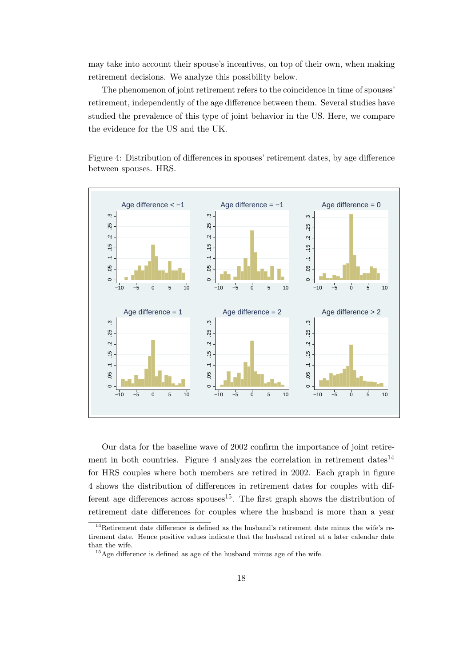may take into account their spouse's incentives, on top of their own, when making retirement decisions. We analyze this possibility below.

The phenomenon of joint retirement refers to the coincidence in time of spouses' retirement, independently of the age difference between them. Several studies have studied the prevalence of this type of joint behavior in the US. Here, we compare the evidence for the US and the UK.

Figure 4: Distribution of differences in spouses' retirement dates, by age difference between spouses. HRS.



Our data for the baseline wave of 2002 confirm the importance of joint retirement in both countries. Figure 4 analyzes the correlation in retirement dates<sup>14</sup> for HRS couples where both members are retired in 2002. Each graph in figure 4 shows the distribution of differences in retirement dates for couples with different age differences across spouses<sup>15</sup>. The first graph shows the distribution of retirement date differences for couples where the husband is more than a year

<sup>14</sup>Retirement date difference is defined as the husband's retirement date minus the wife's retirement date. Hence positive values indicate that the husband retired at a later calendar date than the wife.

 $15$ Age difference is defined as age of the husband minus age of the wife.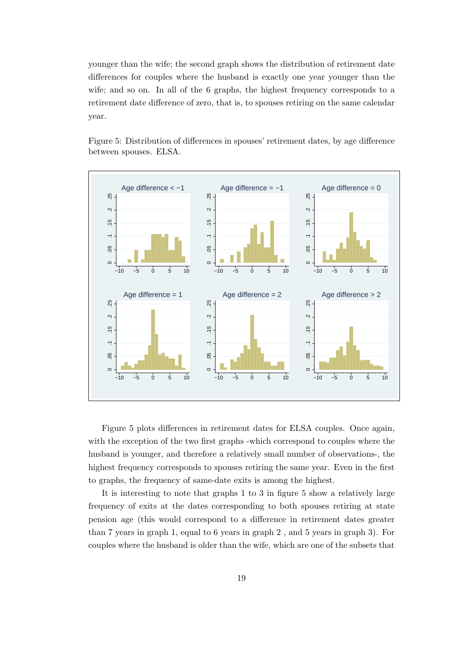younger than the wife; the second graph shows the distribution of retirement date differences for couples where the husband is exactly one year younger than the wife; and so on. In all of the 6 graphs, the highest frequency corresponds to a retirement date difference of zero, that is, to spouses retiring on the same calendar year.



Figure 5: Distribution of differences in spouses' retirement dates, by age difference between spouses. ELSA.

Figure 5 plots differences in retirement dates for ELSA couples. Once again, with the exception of the two first graphs -which correspond to couples where the husband is younger, and therefore a relatively small number of observations-, the highest frequency corresponds to spouses retiring the same year. Even in the first to graphs, the frequency of same-date exits is among the highest.

It is interesting to note that graphs 1 to 3 in figure 5 show a relatively large frequency of exits at the dates corresponding to both spouses retiring at state pension age (this would correspond to a difference in retirement dates greater than 7 years in graph 1, equal to 6 years in graph 2 , and 5 years in graph 3). For couples where the husband is older than the wife, which are one of the subsets that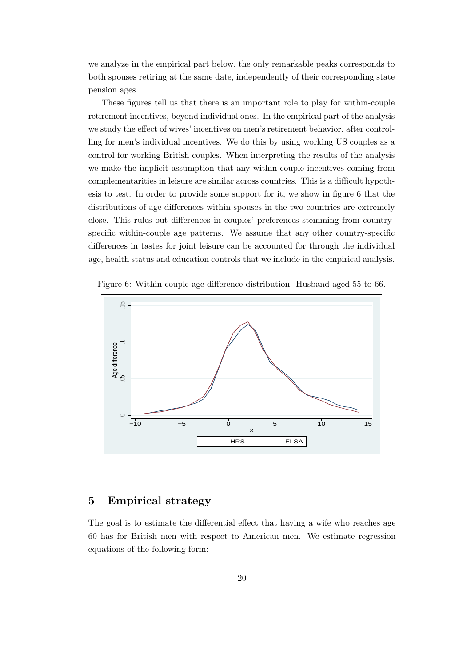we analyze in the empirical part below, the only remarkable peaks corresponds to both spouses retiring at the same date, independently of their corresponding state pension ages.

These figures tell us that there is an important role to play for within-couple retirement incentives, beyond individual ones. In the empirical part of the analysis we study the effect of wives' incentives on men's retirement behavior, after controlling for men's individual incentives. We do this by using working US couples as a control for working British couples. When interpreting the results of the analysis we make the implicit assumption that any within-couple incentives coming from complementarities in leisure are similar across countries. This is a difficult hypothesis to test. In order to provide some support for it, we show in figure 6 that the distributions of age differences within spouses in the two countries are extremely close. This rules out differences in couples' preferences stemming from countryspecific within-couple age patterns. We assume that any other country-specific differences in tastes for joint leisure can be accounted for through the individual age, health status and education controls that we include in the empirical analysis.



Figure 6: Within-couple age difference distribution. Husband aged 55 to 66.

## 5 Empirical strategy

The goal is to estimate the differential effect that having a wife who reaches age 60 has for British men with respect to American men. We estimate regression equations of the following form: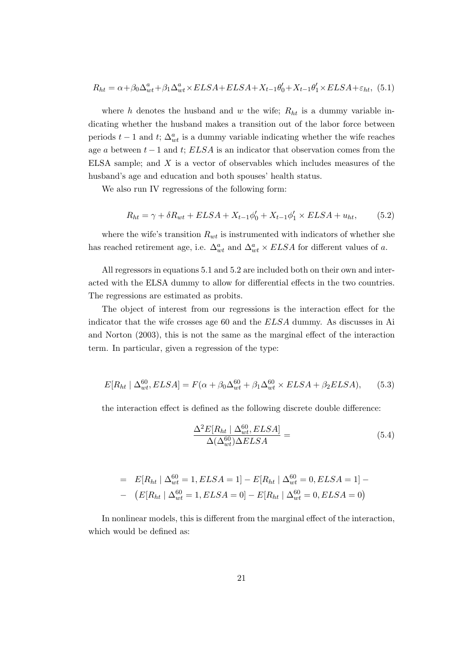$$
R_{ht} = \alpha + \beta_0 \Delta_{wt}^a + \beta_1 \Delta_{wt}^a \times ELSA + ELSA + X_{t-1}\theta_0' + X_{t-1}\theta_1' \times ELSA + \varepsilon_{ht},
$$
 (5.1)

where h denotes the husband and w the wife;  $R_{ht}$  is a dummy variable indicating whether the husband makes a transition out of the labor force between periods  $t - 1$  and  $t$ ;  $\Delta_{wt}^a$  is a dummy variable indicating whether the wife reaches age a between  $t - 1$  and  $t$ ;  $ELSA$  is an indicator that observation comes from the ELSA sample; and X is a vector of observables which includes measures of the husband's age and education and both spouses' health status.

We also run IV regressions of the following form:

$$
R_{ht} = \gamma + \delta R_{wt} + ELSA + X_{t-1}\phi'_0 + X_{t-1}\phi'_1 \times ELSA + u_{ht}, \qquad (5.2)
$$

where the wife's transition  $R_{wt}$  is instrumented with indicators of whether she has reached retirement age, i.e.  $\Delta_{wt}^a$  and  $\Delta_{wt}^a \times ELSA$  for different values of a.

All regressors in equations 5.1 and 5.2 are included both on their own and interacted with the ELSA dummy to allow for differential effects in the two countries. The regressions are estimated as probits.

The object of interest from our regressions is the interaction effect for the indicator that the wife crosses age 60 and the ELSA dummy. As discusses in Ai and Norton (2003), this is not the same as the marginal effect of the interaction term. In particular, given a regression of the type:

$$
E[R_{ht} \mid \Delta_{wt}^{60}, ELSA] = F(\alpha + \beta_0 \Delta_{wt}^{60} + \beta_1 \Delta_{wt}^{60} \times ELSA + \beta_2 ELSA), \quad (5.3)
$$

the interaction effect is defined as the following discrete double difference:

$$
\frac{\Delta^2 E[R_{ht} | \Delta_{wt}^{60}, ELSA]}{\Delta(\Delta_{wt}^{60}) \Delta ELSA} = (5.4)
$$

= 
$$
E[R_{ht} | \Delta_{wt}^{60} = 1, ELSA = 1] - E[R_{ht} | \Delta_{wt}^{60} = 0, ELSA = 1] -
$$
  
-  $(E[R_{ht} | \Delta_{wt}^{60} = 1, ELSA = 0] - E[R_{ht} | \Delta_{wt}^{60} = 0, ELSA = 0)$ 

In nonlinear models, this is different from the marginal effect of the interaction, which would be defined as: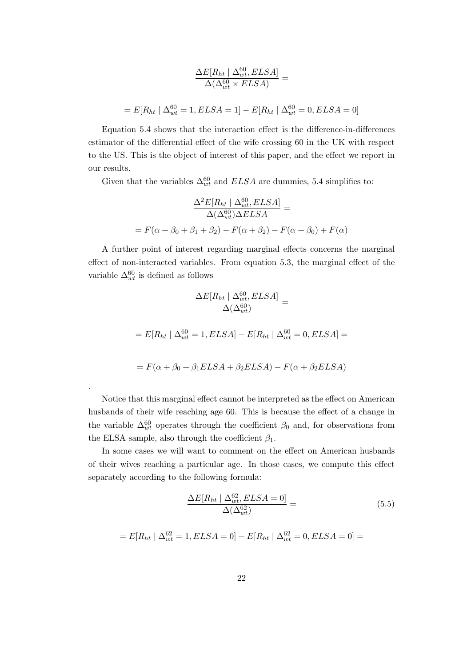$$
\frac{\Delta E[R_{ht} \mid \Delta_{wt}^{60}, ELSA]}{\Delta(\Delta_{wt}^{60} \times ELSA)} =
$$
  
=  $E[R_{ht} \mid \Delta_{wt}^{60} = 1, ELSA = 1] - E[R_{ht} \mid \Delta_{wt}^{60} = 0, ELSA = 0]$ 

Equation 5.4 shows that the interaction effect is the difference-in-differences estimator of the differential effect of the wife crossing 60 in the UK with respect to the US. This is the object of interest of this paper, and the effect we report in our results.

Given that the variables  $\Delta_{wt}^{60}$  and  $ELSA$  are dummies, 5.4 simplifies to:

$$
\frac{\Delta^2 E[R_{ht} | \Delta_{wt}^{60}, ELSA]}{\Delta(\Delta_{wt}^{60}) \Delta ELSA} =
$$
  
=  $F(\alpha + \beta_0 + \beta_1 + \beta_2) - F(\alpha + \beta_2) - F(\alpha + \beta_0) + F(\alpha)$ 

A further point of interest regarding marginal effects concerns the marginal effect of non-interacted variables. From equation 5.3, the marginal effect of the variable  $\Delta_{wt}^{60}$  is defined as follows

$$
\frac{\Delta E[R_{ht} | \Delta_{wt}^{60}, ELSA]}{\Delta(\Delta_{wt}^{60})} =
$$
  
=  $E[R_{ht} | \Delta_{wt}^{60} = 1, ELSA] - E[R_{ht} | \Delta_{wt}^{60} = 0, ELSA] =$   
=  $F(\alpha + \beta_0 + \beta_1 ELSA + \beta_2 ELSA) - F(\alpha + \beta_2 ELSA)$ 

Notice that this marginal effect cannot be interpreted as the effect on American husbands of their wife reaching age 60. This is because the effect of a change in the variable  $\Delta_{wt}^{60}$  operates through the coefficient  $\beta_0$  and, for observations from the ELSA sample, also through the coefficient  $\beta_1$ .

.

In some cases we will want to comment on the effect on American husbands of their wives reaching a particular age. In those cases, we compute this effect separately according to the following formula:

$$
\frac{\Delta E[R_{ht} \mid \Delta_{wt}^{62}, ELSA = 0]}{\Delta(\Delta_{wt}^{62})} = \tag{5.5}
$$

$$
= E[R_{ht} | \Delta_{wt}^{62} = 1, ELSA = 0] - E[R_{ht} | \Delta_{wt}^{62} = 0, ELSA = 0] =
$$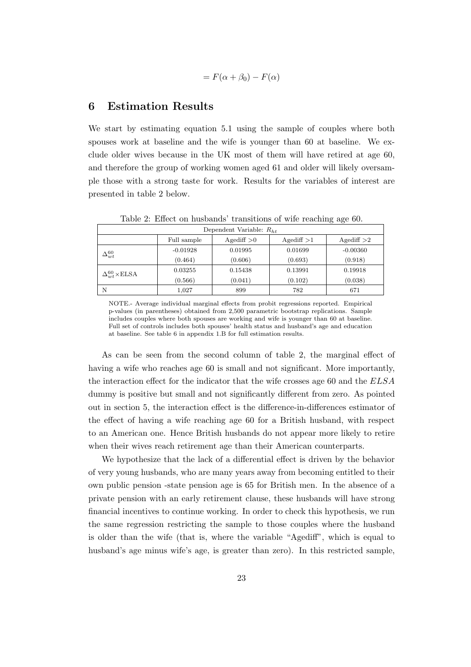$$
= F(\alpha + \beta_0) - F(\alpha)
$$

### 6 Estimation Results

We start by estimating equation 5.1 using the sample of couples where both spouses work at baseline and the wife is younger than 60 at baseline. We exclude older wives because in the UK most of them will have retired at age 60, and therefore the group of working women aged 61 and older will likely oversample those with a strong taste for work. Results for the variables of interest are presented in table 2 below.

|                          | Dependent Variable: $R_{ht}$ |             |                 |                 |                 |  |
|--------------------------|------------------------------|-------------|-----------------|-----------------|-----------------|--|
|                          |                              | Full sample | $A$ gediff $>0$ | $A$ gediff $>1$ | $A$ gediff $>2$ |  |
| $\Delta^{60}_{wt}$       | $-0.01928$                   | 0.01995     | 0.01699         | $-0.00360$      |                 |  |
|                          | (0.464)                      | (0.606)     | (0.693)         | (0.918)         |                 |  |
| $\Delta_{u}^{60}$ × ELSA | 0.03255                      | 0.15438     | 0.13991         | 0.19918         |                 |  |
|                          | (0.566)                      | (0.041)     | (0.102)         | (0.038)         |                 |  |
|                          | N                            | 1,027       | 899             | 782             | 671             |  |

Table 2: Effect on husbands' transitions of wife reaching age 60.

NOTE.- Average individual marginal effects from probit regressions reported. Empirical p-values (in parentheses) obtained from 2,500 parametric bootstrap replications. Sample includes couples where both spouses are working and wife is younger than 60 at baseline. Full set of controls includes both spouses' health status and husband's age and education at baseline. See table 6 in appendix 1.B for full estimation results.

As can be seen from the second column of table 2, the marginal effect of having a wife who reaches age 60 is small and not significant. More importantly, the interaction effect for the indicator that the wife crosses age 60 and the ELSA dummy is positive but small and not significantly different from zero. As pointed out in section 5, the interaction effect is the difference-in-differences estimator of the effect of having a wife reaching age 60 for a British husband, with respect to an American one. Hence British husbands do not appear more likely to retire when their wives reach retirement age than their American counterparts.

We hypothesize that the lack of a differential effect is driven by the behavior of very young husbands, who are many years away from becoming entitled to their own public pension -state pension age is 65 for British men. In the absence of a private pension with an early retirement clause, these husbands will have strong financial incentives to continue working. In order to check this hypothesis, we run the same regression restricting the sample to those couples where the husband is older than the wife (that is, where the variable "Agediff", which is equal to husband's age minus wife's age, is greater than zero). In this restricted sample,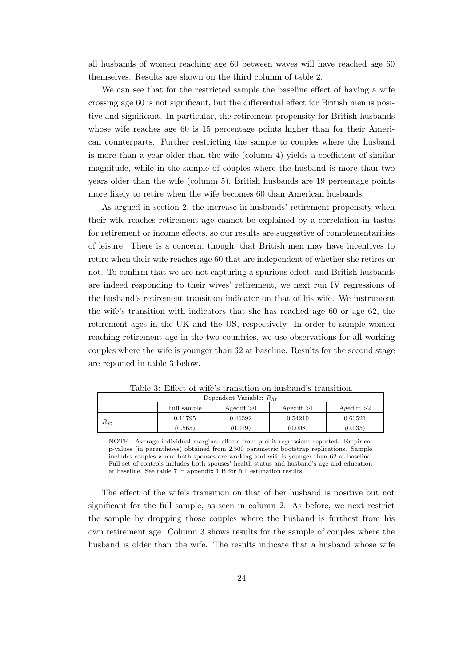all husbands of women reaching age 60 between waves will have reached age 60 themselves. Results are shown on the third column of table 2.

We can see that for the restricted sample the baseline effect of having a wife crossing age 60 is not significant, but the differential effect for British men is positive and significant. In particular, the retirement propensity for British husbands whose wife reaches age 60 is 15 percentage points higher than for their American counterparts. Further restricting the sample to couples where the husband is more than a year older than the wife (column 4) yields a coefficient of similar magnitude, while in the sample of couples where the husband is more than two years older than the wife (column 5), British husbands are 19 percentage points more likely to retire when the wife becomes 60 than American husbands.

As argued in section 2, the increase in husbands' retirement propensity when their wife reaches retirement age cannot be explained by a correlation in tastes for retirement or income effects, so our results are suggestive of complementarities of leisure. There is a concern, though, that British men may have incentives to retire when their wife reaches age 60 that are independent of whether she retires or not. To confirm that we are not capturing a spurious effect, and British husbands are indeed responding to their wives' retirement, we next run IV regressions of the husband's retirement transition indicator on that of his wife. We instrument the wife's transition with indicators that she has reached age 60 or age 62, the retirement ages in the UK and the US, respectively. In order to sample women reaching retirement age in the two countries, we use observations for all working couples where the wife is younger than 62 at baseline. Results for the second stage are reported in table 3 below.

|                                                                                                                                                                                    | Full sample | $A$ gediff $>0$ | $A$ gediff $>1$ | $A$ gediff $>2$ |  |
|------------------------------------------------------------------------------------------------------------------------------------------------------------------------------------|-------------|-----------------|-----------------|-----------------|--|
| $R_{st}$                                                                                                                                                                           | 0.11795     | 0.46392         | 0.54210         | 0.63521         |  |
|                                                                                                                                                                                    | (0.565)     | (0.019)         | (0.008)         | (0.035)         |  |
| NOTE.- Average individual marginal effects from probit regressions reported. Empirical<br>n culture (in nonombrosse) shkainad fuom 9.500 nonomatuis hastetuan nonlisatione. Camula |             |                 |                 |                 |  |

Table 3: Effect of wife's transition on husband's transition. Dependent Variable:  $R_{ht}$ 

p-values (in parentheses) obtained from 2,500 parametric bootstrap replications. Sample includes couples where both spouses are working and wife is younger than 62 at baseline. Full set of controls includes both spouses' health status and husband's age and education at baseline. See table 7 in appendix 1.B for full estimation results.

The effect of the wife's transition on that of her husband is positive but not significant for the full sample, as seen in column 2. As before, we next restrict the sample by dropping those couples where the husband is furthest from his own retirement age. Column 3 shows results for the sample of couples where the husband is older than the wife. The results indicate that a husband whose wife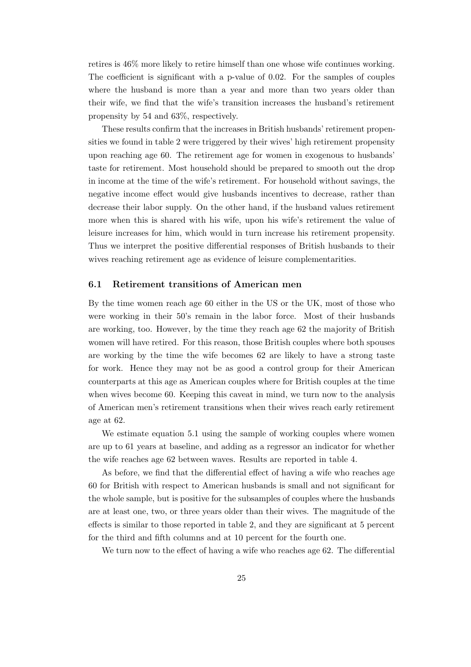retires is 46% more likely to retire himself than one whose wife continues working. The coefficient is significant with a p-value of 0.02. For the samples of couples where the husband is more than a year and more than two years older than their wife, we find that the wife's transition increases the husband's retirement propensity by 54 and 63%, respectively.

These results confirm that the increases in British husbands' retirement propensities we found in table 2 were triggered by their wives' high retirement propensity upon reaching age 60. The retirement age for women in exogenous to husbands' taste for retirement. Most household should be prepared to smooth out the drop in income at the time of the wife's retirement. For household without savings, the negative income effect would give husbands incentives to decrease, rather than decrease their labor supply. On the other hand, if the husband values retirement more when this is shared with his wife, upon his wife's retirement the value of leisure increases for him, which would in turn increase his retirement propensity. Thus we interpret the positive differential responses of British husbands to their wives reaching retirement age as evidence of leisure complementarities.

#### 6.1 Retirement transitions of American men

By the time women reach age 60 either in the US or the UK, most of those who were working in their 50's remain in the labor force. Most of their husbands are working, too. However, by the time they reach age 62 the majority of British women will have retired. For this reason, those British couples where both spouses are working by the time the wife becomes 62 are likely to have a strong taste for work. Hence they may not be as good a control group for their American counterparts at this age as American couples where for British couples at the time when wives become 60. Keeping this caveat in mind, we turn now to the analysis of American men's retirement transitions when their wives reach early retirement age at 62.

We estimate equation 5.1 using the sample of working couples where women are up to 61 years at baseline, and adding as a regressor an indicator for whether the wife reaches age 62 between waves. Results are reported in table 4.

As before, we find that the differential effect of having a wife who reaches age 60 for British with respect to American husbands is small and not significant for the whole sample, but is positive for the subsamples of couples where the husbands are at least one, two, or three years older than their wives. The magnitude of the effects is similar to those reported in table 2, and they are significant at 5 percent for the third and fifth columns and at 10 percent for the fourth one.

We turn now to the effect of having a wife who reaches age 62. The differential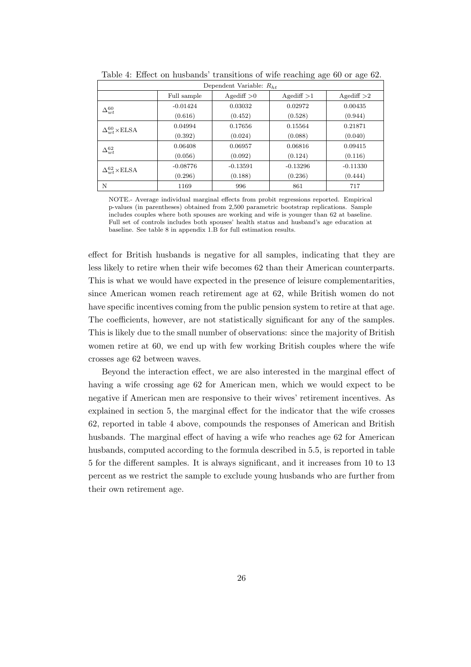| Dependent Variable: $R_{h}$ |                                                                      |            |            |            |  |  |
|-----------------------------|----------------------------------------------------------------------|------------|------------|------------|--|--|
|                             | $A$ gediff $>0$<br>Full sample<br>$A$ gediff $>1$<br>$A$ gediff $>2$ |            |            |            |  |  |
| $\Delta^{60}_{wt}$          | $-0.01424$                                                           | 0.03032    | 0.02972    | 0.00435    |  |  |
|                             | (0.616)                                                              | (0.452)    | (0.528)    | (0.944)    |  |  |
| $\Delta_{w}^{60}$ × ELSA    | 0.04994                                                              | 0.17656    | 0.15564    | 0.21871    |  |  |
|                             | (0.392)                                                              | (0.024)    | (0.088)    | (0.040)    |  |  |
| $\Delta^{62}_{wt}$          | 0.06408                                                              | 0.06957    | 0.06816    | 0.09415    |  |  |
|                             | (0.056)                                                              | (0.092)    | (0.124)    | (0.116)    |  |  |
| $\Delta_{wt}^{62}$ × ELSA   | $-0.08776$                                                           | $-0.13591$ | $-0.13296$ | $-0.11330$ |  |  |
|                             | (0.296)                                                              | (0.188)    | (0.236)    | (0.444)    |  |  |
| N                           | 1169                                                                 | 996        | 861        | 717        |  |  |

Table 4: Effect on husbands' transitions of wife reaching age 60 or age 62.

NOTE.- Average individual marginal effects from probit regressions reported. Empirical p-values (in parentheses) obtained from 2,500 parametric bootstrap replications. Sample includes couples where both spouses are working and wife is younger than 62 at baseline. Full set of controls includes both spouses' health status and husband's age education at baseline. See table 8 in appendix 1.B for full estimation results.

effect for British husbands is negative for all samples, indicating that they are less likely to retire when their wife becomes 62 than their American counterparts. This is what we would have expected in the presence of leisure complementarities, since American women reach retirement age at 62, while British women do not have specific incentives coming from the public pension system to retire at that age. The coefficients, however, are not statistically significant for any of the samples. This is likely due to the small number of observations: since the majority of British women retire at 60, we end up with few working British couples where the wife crosses age 62 between waves.

Beyond the interaction effect, we are also interested in the marginal effect of having a wife crossing age 62 for American men, which we would expect to be negative if American men are responsive to their wives' retirement incentives. As explained in section 5, the marginal effect for the indicator that the wife crosses 62, reported in table 4 above, compounds the responses of American and British husbands. The marginal effect of having a wife who reaches age 62 for American husbands, computed according to the formula described in 5.5, is reported in table 5 for the different samples. It is always significant, and it increases from 10 to 13 percent as we restrict the sample to exclude young husbands who are further from their own retirement age.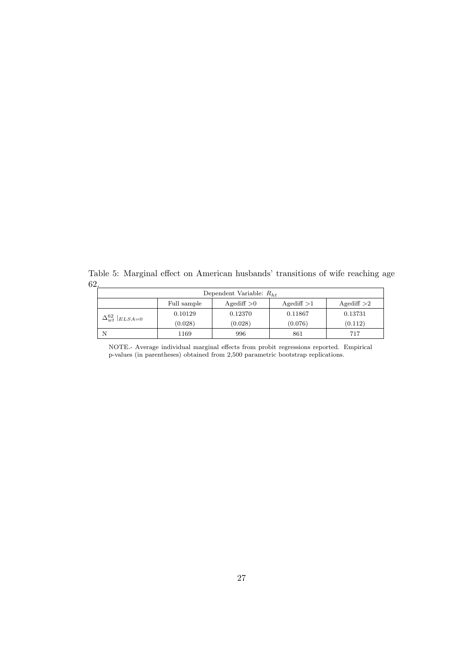Table 5: Marginal effect on American husbands' transitions of wife reaching age 62.

| Dependent Variable: $R_{ht}$                                         |         |         |         |         |  |
|----------------------------------------------------------------------|---------|---------|---------|---------|--|
| $A$ gediff $>0$<br>$A$ gediff $>1$<br>$A$ gediff $>2$<br>Full sample |         |         |         |         |  |
| $\Delta_{wt}^{62}$  ELSA=0                                           | 0.10129 | 0.12370 | 0.11867 | 0.13731 |  |
|                                                                      | (0.028) | (0.028) | (0.076) | (0.112) |  |
| Ν                                                                    | 1169    | 996     | 861     | 717     |  |

NOTE.- Average individual marginal effects from probit regressions reported. Empirical p-values (in parentheses) obtained from 2,500 parametric bootstrap replications.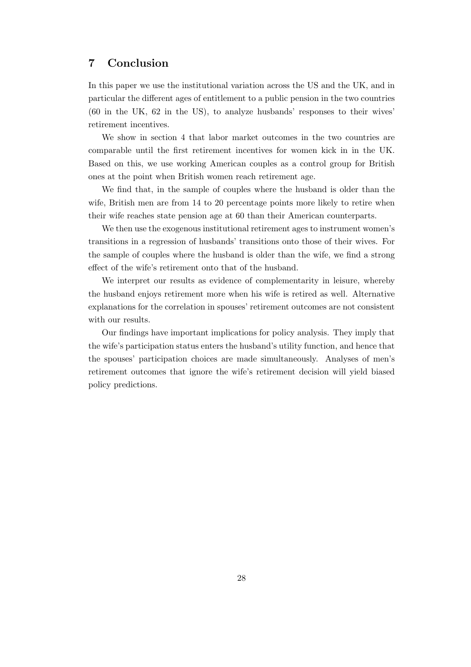## 7 Conclusion

In this paper we use the institutional variation across the US and the UK, and in particular the different ages of entitlement to a public pension in the two countries (60 in the UK, 62 in the US), to analyze husbands' responses to their wives' retirement incentives.

We show in section 4 that labor market outcomes in the two countries are comparable until the first retirement incentives for women kick in in the UK. Based on this, we use working American couples as a control group for British ones at the point when British women reach retirement age.

We find that, in the sample of couples where the husband is older than the wife, British men are from 14 to 20 percentage points more likely to retire when their wife reaches state pension age at 60 than their American counterparts.

We then use the exogenous institutional retirement ages to instrument women's transitions in a regression of husbands' transitions onto those of their wives. For the sample of couples where the husband is older than the wife, we find a strong effect of the wife's retirement onto that of the husband.

We interpret our results as evidence of complementarity in leisure, whereby the husband enjoys retirement more when his wife is retired as well. Alternative explanations for the correlation in spouses' retirement outcomes are not consistent with our results.

Our findings have important implications for policy analysis. They imply that the wife's participation status enters the husband's utility function, and hence that the spouses' participation choices are made simultaneously. Analyses of men's retirement outcomes that ignore the wife's retirement decision will yield biased policy predictions.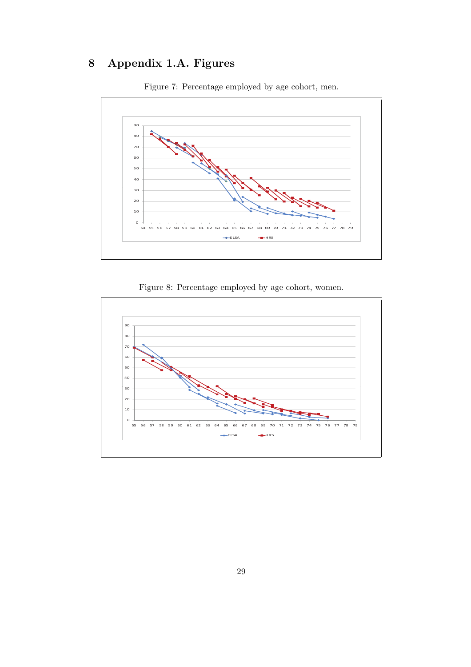## 8 Appendix 1.A. Figures



Figure 7: Percentage employed by age cohort, men.



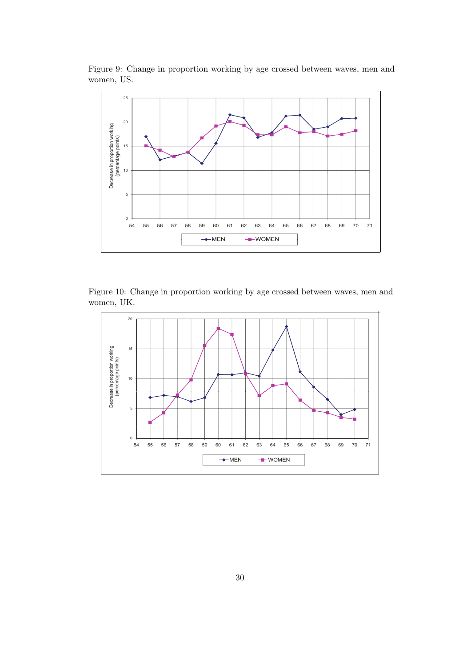

Figure 9: Change in proportion working by age crossed between waves, men and women, US.

Figure 10: Change in proportion working by age crossed between waves, men and women, UK.

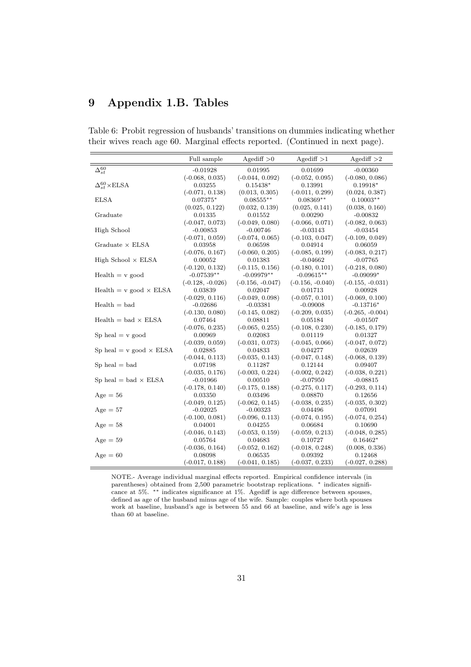## 9 Appendix 1.B. Tables

|  |  | Table 6: Probit regression of husbands' transitions on dummies indicating whether |  |
|--|--|-----------------------------------------------------------------------------------|--|
|  |  | their wives reach age 60. Marginal effects reported. (Continued in next page).    |  |

|                                  | Full sample        | $A$ gediff $>0$    | $A$ gediff $>1$    | $A$ gediff $>2$    |
|----------------------------------|--------------------|--------------------|--------------------|--------------------|
| $\Delta_{st}^{60}$               | $-0.01928$         | 0.01995            | 0.01699            | $-0.00360$         |
|                                  | $(-0.068, 0.035)$  | $(-0.044, 0.092)$  | $(-0.052, 0.095)$  | $(-0.080, 0.086)$  |
| $\Delta_{st}^{60}\times$ ELSA    | 0.03255            | $0.15438*$         | 0.13991            | $0.19918*$         |
|                                  | $(-0.071, 0.138)$  | (0.013, 0.305)     | $(-0.011, 0.299)$  | (0.024, 0.387)     |
| <b>ELSA</b>                      | $0.07375*$         | $0.08555***$       | $0.08369**$        | $0.10003**$        |
|                                  | (0.025, 0.122)     | (0.032, 0.139)     | (0.025, 0.141)     | (0.038, 0.160)     |
| Graduate                         | 0.01335            | 0.01552            | 0.00290            | $-0.00832$         |
|                                  | $(-0.047, 0.073)$  | $(-0.049, 0.080)$  | $(-0.066, 0.071)$  | $(-0.082, 0.063)$  |
| High School                      | $-0.00853$         | $-0.00746$         | $-0.03143$         | $-0.03454$         |
|                                  | $(-0.071, 0.059)$  | $(-0.074, 0.065)$  | $(-0.103, 0.047)$  | $(-0.109, 0.049)$  |
| Graduate $\times$ ELSA           | 0.03958            | 0.06598            | 0.04914            | 0.06059            |
|                                  | $(-0.076, 0.167)$  | $(-0.060, 0.205)$  | $(-0.085, 0.199)$  | $(-0.083, 0.217)$  |
| High School $\times$ ELSA        | 0.00052            | 0.01383            | $-0.04662$         | $-0.07765$         |
|                                  | $(-0.120, 0.132)$  | $(-0.115, 0.156)$  | $(-0.180, 0.101)$  | $(-0.218, 0.080)$  |
| $Health = v$ good                | $-0.07539**$       | $-0.09979**$       | $-0.09615**$       | $-0.09099*$        |
|                                  | $(-0.128, -0.026)$ | $(-0.156, -0.047)$ | $(-0.156, -0.040)$ | $(-0.155, -0.031)$ |
| $Health = v good \times ELSA$    | 0.03839            | 0.02047            | 0.01713            | 0.00928            |
|                                  | $(-0.029, 0.116)$  | $(-0.049, 0.098)$  | $(-0.057, 0.101)$  | $(-0.069, 0.100)$  |
| $Health = bad$                   | $-0.02686$         | $-0.03381$         | $-0.09008$         | $-0.13716*$        |
|                                  | $(-0.130, 0.080)$  | $(-0.145, 0.082)$  | $(-0.209, 0.035)$  | $(-0.265, -0.004)$ |
| $Health = bad \times ELSA$       | 0.07464            | 0.08811            | 0.05184            | $-0.01507$         |
|                                  | $(-0.076, 0.235)$  | $(-0.065, 0.255)$  | $(-0.108, 0.230)$  | $(-0.185, 0.179)$  |
| $Sp$ heal $= v$ good             | 0.00969            | 0.02083            | 0.01119            | 0.01327            |
|                                  | $(-0.039, 0.059)$  | $(-0.031, 0.073)$  | $(-0.045, 0.066)$  | $(-0.047, 0.072)$  |
| Sp heal = $v$ good $\times$ ELSA | 0.02885            | 0.04833            | 0.04277            | 0.02639            |
|                                  | $(-0.044, 0.113)$  | $(-0.035, 0.143)$  | $(-0.047, 0.148)$  | $(-0.068, 0.139)$  |
| $Sp$ heal $=$ bad                | 0.07198            | 0.11287            | 0.12144            | 0.09407            |
|                                  | $(-0.035, 0.176)$  | $(-0.003, 0.224)$  | $(-0.002, 0.242)$  | $(-0.038, 0.221)$  |
| $Sp$ heal = bad $\times$ ELSA    | $-0.01966$         | 0.00510            | $-0.07950$         | $-0.08815$         |
|                                  | $(-0.178, 0.140)$  | $(-0.175, 0.188)$  | $(-0.275, 0.117)$  | $(-0.293, 0.114)$  |
| $Age = 56$                       | 0.03350            | 0.03496            | 0.08870            | 0.12656            |
|                                  | $(-0.049, 0.125)$  | $(-0.062, 0.145)$  | $(-0.038, 0.235)$  | $(-0.035, 0.302)$  |
| $Age = 57$                       | -0.02025           | $-0.00323$         | 0.04496            | 0.07091            |
|                                  | $(-0.100, 0.081)$  | $(-0.096, 0.113)$  | $(-0.074, 0.195)$  | $(-0.074, 0.254)$  |
| $Age = 58$                       | 0.04001            | 0.04255            | 0.06684            | 0.10690            |
|                                  | $(-0.046, 0.143)$  | $(-0.053, 0.159)$  | $(-0.059, 0.213)$  | $(-0.048, 0.285)$  |
| $Age = 59$                       | 0.05764            | 0.04683            | 0.10727            | $0.16462*$         |
|                                  | $(-0.036, 0.164)$  | $(-0.052, 0.162)$  | $(-0.018, 0.248)$  | (0.008, 0.336)     |
| $Age = 60$                       | 0.08098            | 0.06535            | 0.09392            | 0.12468            |
|                                  | $(-0.017, 0.188)$  | $(-0.041, 0.185)$  | $(-0.037, 0.233)$  | $(-0.027, 0.288)$  |

NOTE.- Average individual marginal effects reported. Empirical confidence intervals (in parentheses) obtained from 2,500 parametric bootstrap replications. \* indicates significance at 5%. ∗∗ indicates significance at 1%. Agediff is age difference between spouses, defined as age of the husband minus age of the wife. Sample: couples where both spouses work at baseline, husband's age is between 55 and 66 at baseline, and wife's age is less than 60 at baseline.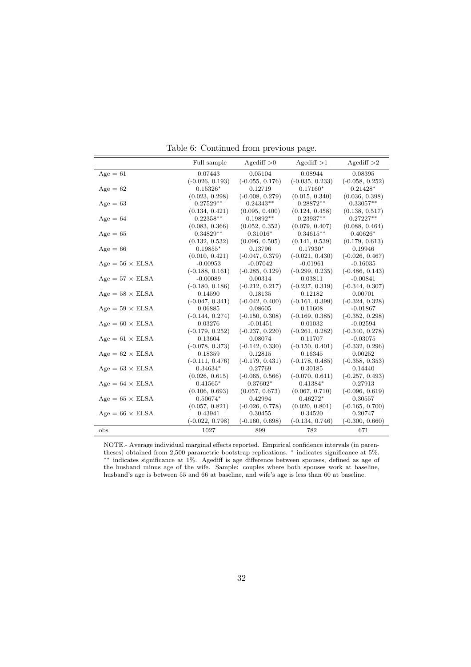|                               | Full sample       | $A$ gediff $>0$   | $A$ gediff $>1$   | Agediff $>2$      |
|-------------------------------|-------------------|-------------------|-------------------|-------------------|
| $Age = 61$                    | 0.07443           | 0.05104           | 0.08944           | 0.08395           |
|                               | $(-0.026, 0.193)$ | $(-0.055, 0.176)$ | $(-0.035, 0.233)$ | $(-0.058, 0.252)$ |
| $Age = 62$                    | $0.15326*$        | 0.12719           | $0.17160*$        | $0.21428*$        |
|                               | (0.023, 0.298)    | $(-0.008, 0.279)$ | (0.015, 0.340)    | (0.036, 0.398)    |
| $Age = 63$                    | $0.27529**$       | $0.24343**$       | $0.28872**$       | $0.33057**$       |
|                               | (0.134, 0.421)    | (0.095, 0.400)    | (0.124, 0.458)    | (0.138, 0.517)    |
| $Age = 64$                    | $0.22358**$       | $0.19892**$       | $0.23937**$       | $0.27227**$       |
|                               | (0.083, 0.366)    | (0.052, 0.352)    | (0.079, 0.407)    | (0.088, 0.464)    |
| $Age = 65$                    | $0.34829**$       | $0.31016*$        | $0.34615**$       | $0.40626*$        |
|                               | (0.132, 0.532)    | (0.096, 0.505)    | (0.141, 0.539)    | (0.179, 0.613)    |
| $Age = 66$                    | $0.19855*$        | 0.13796           | $0.17930*$        | 0.19946           |
|                               | (0.010, 0.421)    | $(-0.047, 0.379)$ | $(-0.021, 0.430)$ | $(-0.026, 0.467)$ |
| $\rm{Age} = 56$ $\times$ ELSA | $-0.00953$        | $-0.07042$        | $-0.01961$        | $-0.16035$        |
|                               | $(-0.188, 0.161)$ | $(-0.285, 0.129)$ | $(-0.299, 0.235)$ | $(-0.486, 0.143)$ |
| $Age = 57 \times ELSA$        | $-0.00089$        | 0.00314           | 0.03811           | $-0.00841$        |
|                               | $(-0.180, 0.186)$ | $(-0.212, 0.217)$ | $(-0.237, 0.319)$ | $(-0.344, 0.307)$ |
| $Age = 58 \times ELSA$        | 0.14590           | 0.18135           | 0.12182           | 0.00701           |
|                               | $(-0.047, 0.341)$ | $(-0.042, 0.400)$ | $(-0.161, 0.399)$ | $(-0.324, 0.328)$ |
| $Age = 59 \times ELSA$        | 0.06885           | 0.08605           | 0.11608           | $-0.01867$        |
|                               | $(-0.144, 0.274)$ | $(-0.150, 0.308)$ | $(-0.169, 0.385)$ | $(-0.352, 0.298)$ |
| $Age = 60 \times ELSA$        | 0.03276           | $-0.01451$        | 0.01032           | $-0.02594$        |
|                               | $(-0.179, 0.252)$ | $(-0.237, 0.220)$ | $(-0.261, 0.282)$ | $(-0.340, 0.278)$ |
| $Age = 61 \times ELSA$        | 0.13604           | 0.08074           | 0.11707           | $-0.03075$        |
|                               | $(-0.078, 0.373)$ | $(-0.142, 0.330)$ | $(-0.150, 0.401)$ | $(-0.332, 0.296)$ |
| $Age = 62 \times ELSA$        | 0.18359           | 0.12815           | 0.16345           | 0.00252           |
|                               | $(-0.111, 0.476)$ | $(-0.179, 0.431)$ | $(-0.178, 0.485)$ | $(-0.358, 0.353)$ |
| $Age = 63 \times ELSA$        | $0.34634*$        | 0.27769           | 0.30185           | 0.14440           |
|                               | (0.026, 0.615)    | $(-0.065, 0.566)$ | $(-0.070, 0.611)$ | $(-0.257, 0.493)$ |
| $Age = 64 \times ELSA$        | $0.41565*$        | $0.37602*$        | $0.41384*$        | 0.27913           |
|                               | (0.106, 0.693)    | (0.057, 0.673)    | (0.067, 0.710)    | $(-0.096, 0.619)$ |
| $Age = 65 \times ELSA$        | $0.50674*$        | 0.42994           | $0.46272*$        | 0.30557           |
|                               | (0.057, 0.821)    | $(-0.026, 0.778)$ | (0.020, 0.801)    | $(-0.165, 0.700)$ |
| $Age = 66 \times ELSA$        | 0.43941           | 0.30455           | 0.34520           | 0.20747           |
|                               | $(-0.022, 0.798)$ | $(-0.160, 0.698)$ | $(-0.134, 0.746)$ | $(-0.300, 0.660)$ |
| obs                           | 1027              | 899               | 782               | 671               |

Table 6: Continued from previous page.

NOTE.- Average individual marginal effects reported. Empirical confidence intervals (in parentheses) obtained from 2,500 parametric bootstrap replications. <sup>∗</sup> indicates significance at 5%. ∗∗ indicates significance at 1%. Agediff is age difference between spouses, defined as age of the husband minus age of the wife. Sample: couples where both spouses work at baseline, husband's age is between 55 and 66 at baseline, and wife's age is less than 60 at baseline.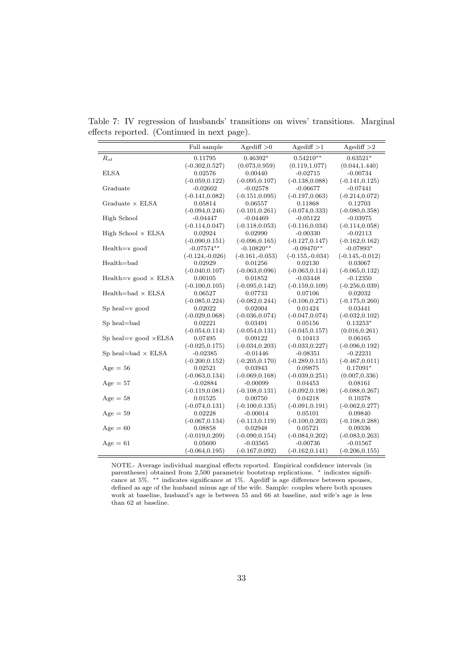Table 7: IV regression of husbands' transitions on wives' transitions. Marginal effects reported. (Continued in next page).

|                                 | Full sample       | $A$ gediff $>0$   | $A$ gediff $>1$   | $A$ gediff $>2$   |
|---------------------------------|-------------------|-------------------|-------------------|-------------------|
| $R_{st}$                        | 0.11795           | $0.46392*$        | $0.54210**$       | $0.63521*$        |
|                                 | $(-0.302, 0.527)$ | (0.073, 0.959)    | (0.119, 1.077)    | (0.044, 1.440)    |
| <b>ELSA</b>                     | 0.02576           | 0.00440           | $-0.02715$        | $-0.00734$        |
|                                 | $(-0.059, 0.122)$ | $(-0.095, 0.107)$ | $(-0.138, 0.088)$ | $(-0.141, 0.125)$ |
| Graduate                        | $-0.02602$        | $-0.02578$        | $-0.06677$        | $-0.07441$        |
|                                 | $(-0.141, 0.082)$ | $(-0.151, 0.095)$ | $(-0.197, 0.063)$ | $(-0.214, 0.072)$ |
| Graduate $\times$ ELSA          | 0.05814           | 0.06557           | 0.11868           | 0.12703           |
|                                 | $(-0.094, 0.246)$ | $(-0.101, 0.261)$ | $(-0.074, 0.333)$ | $(-0.080, 0.358)$ |
| High School                     | $-0.04447$        | $-0.04469$        | $-0.05122$        | $-0.03975$        |
|                                 | $(-0.114, 0.047)$ | $(-0.118, 0.053)$ | $(-0.116, 0.034)$ | $(-0.114, 0.058)$ |
| High School $\times$ ELSA       | 0.02924           | 0.02990           | $-0.00330$        | $-0.02113$        |
|                                 | $(-0.090, 0.151)$ | $(-0.096, 0.165)$ | $(-0.127, 0.147)$ | $(-0.162, 0.162)$ |
| $Health=v$ good                 | $-0.07574**$      | $-0.10820**$      | $-0.09470**$      | $-0.07893*$       |
|                                 | $(-0.124,-0.026)$ | $(-0.161,-0.053)$ | $(-0.155,-0.034)$ | $(-0.145,-0.012)$ |
| $Health = bad$                  | 0.02929           | 0.01256           | 0.02130           | 0.03067           |
|                                 | $(-0.040, 0.107)$ | $(-0.063, 0.096)$ | $(-0.063, 0.114)$ | $(-0.065, 0.132)$ |
| Health=v good $\times$ ELSA     | 0.00105           | 0.01852           | $-0.03448$        | $-0.12350$        |
|                                 | $(-0.100, 0.105)$ | $(-0.095, 0.142)$ | $(-0.159, 0.109)$ | $(-0.256, 0.039)$ |
| $Health = bad \times ELSA$      | 0.06527           | 0.07733           | 0.07106           | 0.02032           |
|                                 | $(-0.085, 0.224)$ | $(-0.082, 0.244)$ | $(-0.106, 0.271)$ | $(-0.175, 0.260)$ |
| $Sp$ heal= $v$ good             | 0.02022           | 0.02004           | 0.01424           | 0.03441           |
|                                 | $(-0.029, 0.068)$ | $(-0.036, 0.074)$ | $(-0.047, 0.074)$ | $(-0.032, 0.102)$ |
| Sp heal=bad                     | 0.02221           | 0.03491           | 0.05156           | $0.13253*$        |
|                                 | $(-0.054, 0.114)$ | $(-0.054, 0.131)$ | $(-0.045, 0.157)$ | (0.016, 0.261)    |
| Sp heal= $v$ good $\times$ ELSA | 0.07495           | 0.09122           | 0.10413           | 0.06165           |
|                                 | $(-0.025, 0.175)$ | $(-0.034, 0.203)$ | $(-0.033, 0.227)$ | $(-0.096, 0.192)$ |
| Sp heal=bad $\times$ ELSA       | $-0.02385$        | $-0.01446$        | $-0.08351$        | $-0.22231$        |
|                                 | $(-0.200, 0.152)$ | $(-0.205, 0.170)$ | $(-0.289, 0.115)$ | $(-0.467, 0.011)$ |
| $Age = 56$                      | 0.02521           | 0.03943           | 0.09875           | $0.17091*$        |
|                                 | $(-0.063, 0.134)$ | $(-0.069, 0.168)$ | $(-0.039, 0.251)$ | (0.007, 0.336)    |
| $Age = 57$                      | $-0.02884$        | $-0.00099$        | 0.04453           | 0.08161           |
|                                 | $(-0.119, 0.081)$ | $(-0.108, 0.131)$ | $(-0.092, 0.198)$ | $(-0.088, 0.267)$ |
| $Age = 58$                      | $_{0.01525}$      | 0.00750           | 0.04218           | 0.10378           |
|                                 | $(-0.074, 0.131)$ | $(-0.100, 0.135)$ | $(-0.091, 0.191)$ | $(-0.062, 0.277)$ |
| $Age = 59$                      | 0.02228           | $-0.00014$        | 0.05101           | 0.09840           |
|                                 | $(-0.067, 0.134)$ | $(-0.113, 0.119)$ | $(-0.100, 0.203)$ | $(-0.108, 0.288)$ |
| $Age = 60$                      | 0.08858           | 0.02948           | 0.05721           | 0.09336           |
|                                 | $(-0.019, 0.209)$ | $(-0.090, 0.154)$ | $(-0.084, 0.202)$ | $(-0.083, 0.263)$ |
| $Age = 61$                      | 0.05600           | $-0.03565$        | $-0.00736$        | $-0.01567$        |
|                                 | $(-0.064, 0.195)$ | $(-0.167, 0.092)$ | $(-0.162, 0.141)$ | $(-0.206, 0.155)$ |

NOTE.- Average individual marginal effects reported. Empirical confidence intervals (in parentheses) obtained from 2,500 parametric bootstrap replications. <sup>∗</sup> indicates significance at 5%. ∗∗ indicates significance at 1%. Agediff is age difference between spouses, defined as age of the husband minus age of the wife. Sample: couples where both spouses work at baseline, husband's age is between 55 and 66 at baseline, and wife's age is less than 62 at baseline.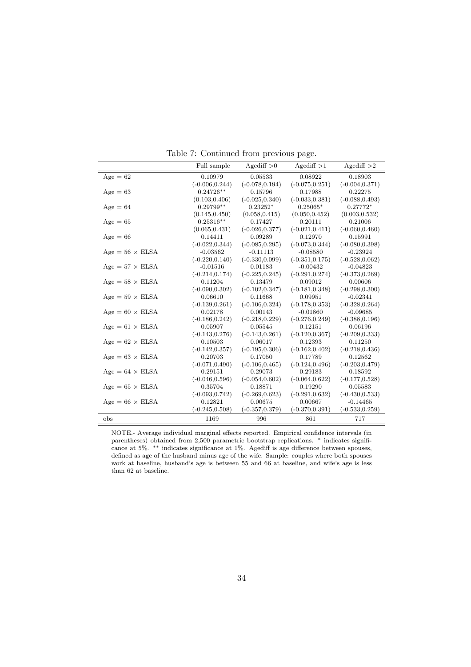|                               | Full sample       | Agediff $>0$      | $A$ gediff $>1$   | Agediff $>2$      |
|-------------------------------|-------------------|-------------------|-------------------|-------------------|
| $Age = 62$                    | 0.10979           | 0.05533           | 0.08922           | 0.18903           |
|                               | $(-0.006, 0.244)$ | $(-0.078, 0.194)$ | $(-0.075, 0.251)$ | $(-0.004, 0.371)$ |
| $Age = 63$                    | $0.24726**$       | 0.15796           | 0.17988           | 0.22275           |
|                               | (0.103, 0.406)    | $(-0.025, 0.340)$ | $(-0.033, 0.381)$ | $(-0.088, 0.493)$ |
| $Age = 64$                    | $0.29799**$       | $0.23252*$        | $0.25065*$        | $0.27772*$        |
|                               | (0.145, 0.450)    | (0.058, 0.415)    | (0.050, 0.452)    | (0.003, 0.532)    |
| $Age = 65$                    | $0.25316**$       | 0.17427           | 0.20111           | 0.21006           |
|                               | (0.065, 0.431)    | $(-0.026, 0.377)$ | $(-0.021, 0.411)$ | $(-0.060, 0.460)$ |
| $Age = 66$                    | 0.14411           | 0.09289           | 0.12970           | 0.15991           |
|                               | $(-0.022, 0.344)$ | $(-0.085, 0.295)$ | $(-0.073, 0.344)$ | $(-0.080, 0.398)$ |
| $Age = 56 \times ELSA$        | $-0.03562$        | $-0.11113$        | $-0.08580$        | $-0.23924$        |
|                               | $(-0.220, 0.140)$ | $(-0.330, 0.099)$ | $(-0.351, 0.175)$ | $(-0.528, 0.062)$ |
| $Age = 57 \times ELSA$        | $-0.01516$        | 0.01183           | $-0.00432$        | $-0.04823$        |
|                               | $(-0.214, 0.174)$ | $(-0.225, 0.245)$ | $(-0.291, 0.274)$ | $(-0.373, 0.269)$ |
| $Age = 58 \times ELSA$        | 0.11204           | 0.13479           | 0.09012           | 0.00606           |
|                               | $(-0.090, 0.302)$ | $(-0.102, 0.347)$ | $(-0.181, 0.348)$ | $(-0.298, 0.300)$ |
| $Age = 59 \times ELSA$        | 0.06610           | 0.11668           | 0.09951           | $-0.02341$        |
|                               | $(-0.139, 0.261)$ | $(-0.106, 0.324)$ | $(-0.178, 0.353)$ | $(-0.328, 0.264)$ |
| $Age = 60 \times ELSA$        | 0.02178           | 0.00143           | $-0.01860$        | $-0.09685$        |
|                               | $(-0.186, 0.242)$ | $(-0.218, 0.229)$ | $(-0.276, 0.249)$ | $(-0.388, 0.196)$ |
| $\rm{Age} = 61$ $\times$ ELSA | 0.05907           | 0.05545           | 0.12151           | 0.06196           |
|                               | $(-0.143, 0.276)$ | $(-0.143, 0.261)$ | $(-0.120, 0.367)$ | $(-0.209, 0.333)$ |
| $Age = 62 \times ELSA$        | 0.10503           | 0.06017           | 0.12393           | 0.11250           |
|                               | $(-0.142, 0.357)$ | $(-0.195, 0.306)$ | $(-0.162, 0.402)$ | $(-0.218, 0.436)$ |
| $Age = 63 \times ELSA$        | 0.20703           | 0.17050           | 0.17789           | 0.12562           |
|                               | $(-0.071, 0.490)$ | $(-0.106, 0.465)$ | $(-0.124, 0.496)$ | $(-0.203, 0.479)$ |
| $Age = 64 \times ELSA$        | 0.29151           | 0.29073           | 0.29183           | 0.18592           |
|                               | $(-0.046, 0.596)$ | $(-0.054, 0.602)$ | $(-0.064, 0.622)$ | $(-0.177, 0.528)$ |
| $Age = 65 \times ELSA$        | 0.35704           | 0.18871           | 0.19290           | 0.05583           |
|                               | $(-0.093, 0.742)$ | $(-0.269, 0.623)$ | $(-0.291, 0.632)$ | $(-0.430, 0.533)$ |
| $Age = 66 \times ELSA$        | 0.12821           | 0.00675           | 0.00667           | $-0.14465$        |
|                               | $(-0.245, 0.508)$ | $(-0.357, 0.379)$ | $(-0.370, 0.391)$ | $(-0.533, 0.259)$ |
| obs                           | 1169              | 996               | 861               | 717               |

Table 7: Continued from previous page.

NOTE.- Average individual marginal effects reported. Empirical confidence intervals (in parentheses) obtained from 2,500 parametric bootstrap replications. <sup>\*</sup> indicates significance at 5%. ∗∗ indicates significance at 1%. Agediff is age difference between spouses, defined as age of the husband minus age of the wife. Sample: couples where both spouses work at baseline, husband's age is between 55 and 66 at baseline, and wife's age is less than 62 at baseline.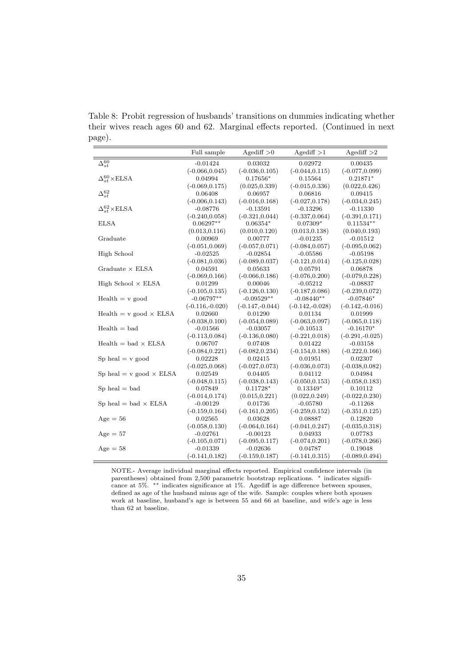Table 8: Probit regression of husbands' transitions on dummies indicating whether their wives reach ages 60 and 62. Marginal effects reported. (Continued in next page).

|                                  | Full sample       | $A$ gediff $>0$   | $A$ gediff $>1$   | $A$ gediff $>2$   |
|----------------------------------|-------------------|-------------------|-------------------|-------------------|
| $\Delta_{st}^{60}$               | $-0.01424$        | 0.03032           | 0.02972           | 0.00435           |
|                                  | $(-0.066, 0.045)$ | $(-0.036, 0.105)$ | $(-0.044, 0.115)$ | $(-0.077, 0.099)$ |
| $\Delta_{st}^{60}\times$ ELSA    | 0.04994           | $0.17656*$        | 0.15564           | $0.21871*$        |
|                                  | $(-0.069, 0.175)$ | (0.025, 0.339)    | $(-0.015, 0.336)$ | (0.022, 0.426)    |
| $\Delta^{62}_{st}$               | 0.06408           | 0.06957           | 0.06816           | 0.09415           |
|                                  | $(-0.006, 0.143)$ | $(-0.016, 0.168)$ | $(-0.027, 0.178)$ | $(-0.034, 0.245)$ |
| $\Delta_{st}^{62}$ × ELSA        | $-0.08776$        | $-0.13591$        | $-0.13296$        | $-0.11330$        |
|                                  | $(-0.240, 0.058)$ | $(-0.321, 0.044)$ | $(-0.337, 0.064)$ | $(-0.391, 0.171)$ |
| <b>ELSA</b>                      | $0.06297**$       | $0.06354*$        | $0.07309*$        | $0.11534**$       |
|                                  | (0.013, 0.116)    | (0.010, 0.120)    | (0.013, 0.138)    | (0.040, 0.193)    |
| Graduate                         | 0.00969           | 0.00777           | $-0.01235$        | $-0.01512$        |
|                                  | $(-0.051, 0.069)$ | $(-0.057, 0.071)$ | $(-0.084, 0.057)$ | $(-0.095, 0.062)$ |
| High School                      | $-0.02525$        | $-0.02854$        | $-0.05586$        | $-0.05198$        |
|                                  | $(-0.081, 0.036)$ | $(-0.089, 0.037)$ | $(-0.121, 0.014)$ | $(-0.125, 0.028)$ |
| Graduate $\times$ ELSA           | 0.04591           | 0.05633           | 0.05791           | 0.06878           |
|                                  | $(-0.069, 0.166)$ | $(-0.066, 0.186)$ | $(-0.076, 0.200)$ | $(-0.079, 0.228)$ |
| High School $\times$ ELSA        | 0.01299           | 0.00046           | $-0.05212$        | $-0.08837$        |
|                                  | $(-0.105, 0.135)$ | $(-0.126, 0.130)$ | $(-0.187, 0.086)$ | $(-0.239, 0.072)$ |
| $Health = v$ good                | $-0.06797**$      | $-0.09529**$      | $-0.08440**$      | $-0.07846*$       |
|                                  | $(-0.116,-0.020)$ | $(-0.147,-0.044)$ | $(-0.142,-0.028)$ | $(-0.142,-0.016)$ |
| $Health = v good \times ELSA$    | 0.02660           | 0.01290           | 0.01134           | 0.01999           |
|                                  | $(-0.038, 0.100)$ | $(-0.054, 0.089)$ | $(-0.063, 0.097)$ | $(-0.065, 0.118)$ |
| $Health = bad$                   | $-0.01566$        | $-0.03057$        | $-0.10513$        | $-0.16170*$       |
|                                  | $(-0.113, 0.084)$ | $(-0.136, 0.080)$ | $(-0.221, 0.018)$ | $(-0.291,-0.025)$ |
| $Health = bad \times ELSA$       | 0.06707           | 0.07408           | 0.01422           | $-0.03158$        |
|                                  | $(-0.084, 0.221)$ | $(-0.082, 0.234)$ | $(-0.154, 0.188)$ | $(-0.222, 0.166)$ |
| $Sp$ heal $= v$ good             | 0.02228           | 0.02415           | 0.01951           | 0.02307           |
|                                  | $(-0.025, 0.068)$ | $(-0.027, 0.073)$ | $(-0.036, 0.073)$ | $(-0.038, 0.082)$ |
| Sp heal = $v$ good $\times$ ELSA | 0.02549           | 0.04405           | 0.04112           | 0.04984           |
|                                  | $(-0.048, 0.115)$ | $(-0.038, 0.143)$ | $(-0.050, 0.153)$ | $(-0.058, 0.183)$ |
| $Sp$ heal $=$ bad                | 0.07849           | $0.11728*$        | $0.13349*$        | 0.10112           |
|                                  | $(-0.014, 0.174)$ | (0.015, 0.221)    | (0.022, 0.249)    | $(-0.022, 0.230)$ |
| Sp heal = bad $\times$ ELSA      | $-0.00129$        | 0.01736           | $-0.05780$        | $-0.11268$        |
|                                  | $(-0.159, 0.164)$ | $(-0.161, 0.205)$ | $(-0.259, 0.152)$ | $(-0.351, 0.125)$ |
| $Age = 56$                       | 0.02565           | 0.03628           | 0.08887           | 0.12820           |
|                                  | $(-0.058, 0.130)$ | $(-0.064, 0.164)$ | $(-0.041, 0.247)$ | $(-0.035, 0.318)$ |
| $Age = 57$                       | $-0.02761$        | $-0.00123$        | 0.04933           | 0.07783           |
|                                  | $(-0.105, 0.071)$ | $(-0.095, 0.117)$ | $(-0.074, 0.201)$ | $(-0.078, 0.266)$ |
| $Age = 58$                       | $-0.01339$        | $-0.02636$        | 0.04787           | 0.19048           |
|                                  | $(-0.141, 0.182)$ | $(-0.159, 0.187)$ | $(-0.141, 0.315)$ | $(-0.089, 0.494)$ |

NOTE.- Average individual marginal effects reported. Empirical confidence intervals (in parentheses) obtained from 2,500 parametric bootstrap replications. <sup>\*</sup> indicates significance at 5%. ∗∗ indicates significance at 1%. Agediff is age difference between spouses, defined as age of the husband minus age of the wife. Sample: couples where both spouses work at baseline, husband's age is between 55 and 66 at baseline, and wife's age is less than 62 at baseline.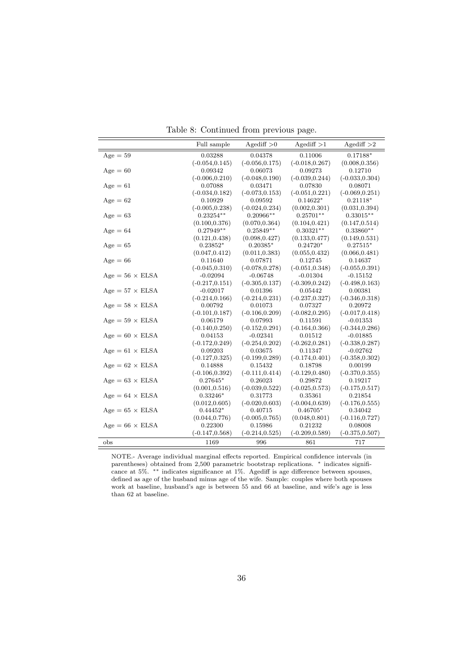Table 8: Continued from previous page.

|                        | Full sample       | Agediff $>0$      | $A$ gediff $>1$   | $A$ gediff $>2$   |
|------------------------|-------------------|-------------------|-------------------|-------------------|
| $Age = 59$             | 0.03288           | 0.04378           | 0.11006           | $0.17188*$        |
|                        | $(-0.054, 0.145)$ | $(-0.056, 0.175)$ | $(-0.018, 0.267)$ | (0.008, 0.356)    |
| $Age = 60$             | 0.09342           | 0.06073           | 0.09273           | 0.12710           |
|                        | $(-0.006, 0.210)$ | $(-0.048, 0.190)$ | $(-0.039, 0.244)$ | $(-0.033, 0.304)$ |
| $Age = 61$             | 0.07088           | 0.03471           | 0.07830           | 0.08071           |
|                        | $(-0.034, 0.182)$ | $(-0.073, 0.153)$ | $(-0.051, 0.221)$ | $(-0.069, 0.251)$ |
| $Age = 62$             | 0.10929           | 0.09592           | $0.14622*$        | $0.21118*$        |
|                        | $(-0.005, 0.238)$ | $(-0.024, 0.234)$ | (0.002, 0.301)    | (0.031, 0.394)    |
| $Age = 63$             | $0.23254**$       | $0.20966**$       | $0.25701**$       | $0.33015**$       |
|                        | (0.100, 0.376)    | (0.070, 0.364)    | (0.104, 0.421)    | (0.147, 0.514)    |
| $Age = 64$             | $0.27949**$       | $0.25849**$       | $0.30321**$       | $0.33860**$       |
|                        | (0.121, 0.438)    | (0.098, 0.427)    | (0.133, 0.477)    | (0.149, 0.531)    |
| $Age = 65$             | $0.23852*$        | $0.20385*$        | $0.24720*$        | $0.27515*$        |
|                        | (0.047, 0.412)    | (0.011, 0.383)    | (0.055, 0.432)    | (0.066, 0.481)    |
| $Age = 66$             | 0.11640           | 0.07871           | 0.12745           | 0.14637           |
|                        | $(-0.045, 0.310)$ | $(-0.078, 0.278)$ | $(-0.051, 0.348)$ | $(-0.055, 0.391)$ |
| $Age = 56 \times ELSA$ | $-0.02094$        | $-0.06748$        | $-0.01304$        | $-0.15152$        |
|                        | $(-0.217, 0.151)$ | $(-0.305, 0.137)$ | $(-0.309, 0.242)$ | $(-0.498, 0.163)$ |
| $Age = 57 \times ELSA$ | $-0.02017$        | 0.01396           | 0.05442           | 0.00381           |
|                        | $(-0.214, 0.166)$ | $(-0.214, 0.231)$ | $(-0.237, 0.327)$ | $(-0.346, 0.318)$ |
| $Age = 58 \times ELSA$ | 0.00792           | 0.01073           | 0.07327           | 0.20972           |
|                        | $(-0.101, 0.187)$ | $(-0.106, 0.209)$ | $(-0.082, 0.295)$ | $(-0.017, 0.418)$ |
| $Age = 59 \times ELSA$ | 0.06179           | 0.07993           | 0.11591           | $-0.01353$        |
|                        | $(-0.140, 0.250)$ | $(-0.152, 0.291)$ | $(-0.164, 0.366)$ | $(-0.344, 0.286)$ |
| $Age = 60 \times ELSA$ | 0.04153           | $-0.02341$        | 0.01512           | $-0.01885$        |
|                        | $(-0.172, 0.249)$ | $(-0.254, 0.202)$ | $(-0.262, 0.281)$ | $(-0.338, 0.287)$ |
| $Age = 61 \times ELSA$ | 0.09203           | 0.03675           | 0.11347           | $-0.02762$        |
|                        | $(-0.127, 0.325)$ | $(-0.199, 0.289)$ | $(-0.174, 0.401)$ | $(-0.358, 0.302)$ |
| $Age = 62 \times ELSA$ | 0.14888           | 0.15432           | 0.18798           | 0.00199           |
|                        | $(-0.106, 0.392)$ | $(-0.111, 0.414)$ | $(-0.129, 0.480)$ | $(-0.370, 0.355)$ |
| $Age = 63 \times ELSA$ | $0.27645*$        | 0.26023           | 0.29872           | 0.19217           |
|                        | (0.001, 0.516)    | $(-0.039, 0.522)$ | $(-0.025, 0.573)$ | $(-0.175, 0.517)$ |
| $Age = 64 \times ELSA$ | $0.33246*$        | 0.31773           | 0.35361           | 0.21854           |
|                        | (0.012, 0.605)    | $(-0.020, 0.603)$ | $(-0.004, 0.639)$ | $(-0.176, 0.555)$ |
| $Age = 65 \times ELSA$ | $0.44452*$        | 0.40715           | $0.46705*$        | 0.34042           |
|                        | (0.044, 0.776)    | $(-0.005, 0.765)$ | (0.048, 0.801)    | $(-0.116, 0.727)$ |
| $Age = 66 \times ELSA$ | 0.22300           | 0.15986           | 0.21232           | 0.08008           |
|                        | $(-0.147, 0.568)$ | $(-0.214, 0.525)$ | $(-0.209, 0.589)$ | $(-0.375, 0.507)$ |
| obs                    | 1169              | 996               | 861               | 717               |

NOTE.- Average individual marginal effects reported. Empirical confidence intervals (in parentheses) obtained from 2,500 parametric bootstrap replications. \* indicates significance at 5%. ∗∗ indicates significance at 1%. Agediff is age difference between spouses, defined as age of the husband minus age of the wife. Sample: couples where both spouses work at baseline, husband's age is between 55 and 66 at baseline, and wife's age is less than 62 at baseline.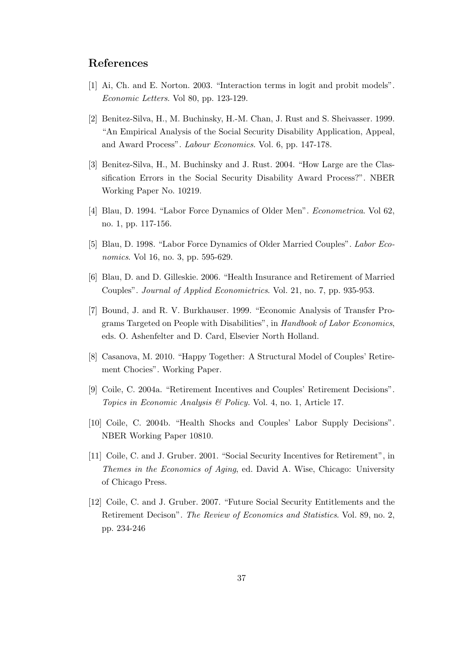## References

- [1] Ai, Ch. and E. Norton. 2003. "Interaction terms in logit and probit models". Economic Letters. Vol 80, pp. 123-129.
- [2] Benitez-Silva, H., M. Buchinsky, H.-M. Chan, J. Rust and S. Sheivasser. 1999. "An Empirical Analysis of the Social Security Disability Application, Appeal, and Award Process". Labour Economics. Vol. 6, pp. 147-178.
- [3] Benitez-Silva, H., M. Buchinsky and J. Rust. 2004. "How Large are the Classification Errors in the Social Security Disability Award Process?". NBER Working Paper No. 10219.
- [4] Blau, D. 1994. "Labor Force Dynamics of Older Men". Econometrica. Vol 62, no. 1, pp. 117-156.
- [5] Blau, D. 1998. "Labor Force Dynamics of Older Married Couples". Labor Economics. Vol 16, no. 3, pp. 595-629.
- [6] Blau, D. and D. Gilleskie. 2006. "Health Insurance and Retirement of Married Couples". Journal of Applied Economietrics. Vol. 21, no. 7, pp. 935-953.
- [7] Bound, J. and R. V. Burkhauser. 1999. "Economic Analysis of Transfer Programs Targeted on People with Disabilities", in Handbook of Labor Economics, eds. O. Ashenfelter and D. Card, Elsevier North Holland.
- [8] Casanova, M. 2010. "Happy Together: A Structural Model of Couples' Retirement Chocies". Working Paper.
- [9] Coile, C. 2004a. "Retirement Incentives and Couples' Retirement Decisions". Topics in Economic Analysis & Policy. Vol. 4, no. 1, Article 17.
- [10] Coile, C. 2004b. "Health Shocks and Couples' Labor Supply Decisions". NBER Working Paper 10810.
- [11] Coile, C. and J. Gruber. 2001. "Social Security Incentives for Retirement", in Themes in the Economics of Aging, ed. David A. Wise, Chicago: University of Chicago Press.
- [12] Coile, C. and J. Gruber. 2007. "Future Social Security Entitlements and the Retirement Decison". The Review of Economics and Statistics. Vol. 89, no. 2, pp. 234-246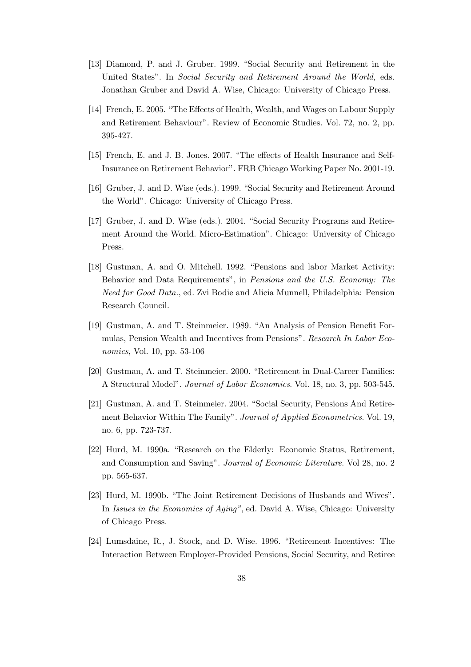- [13] Diamond, P. and J. Gruber. 1999. "Social Security and Retirement in the United States". In Social Security and Retirement Around the World, eds. Jonathan Gruber and David A. Wise, Chicago: University of Chicago Press.
- [14] French, E. 2005. "The Effects of Health, Wealth, and Wages on Labour Supply and Retirement Behaviour". Review of Economic Studies. Vol. 72, no. 2, pp. 395-427.
- [15] French, E. and J. B. Jones. 2007. "The effects of Health Insurance and Self-Insurance on Retirement Behavior". FRB Chicago Working Paper No. 2001-19.
- [16] Gruber, J. and D. Wise (eds.). 1999. "Social Security and Retirement Around the World". Chicago: University of Chicago Press.
- [17] Gruber, J. and D. Wise (eds.). 2004. "Social Security Programs and Retirement Around the World. Micro-Estimation". Chicago: University of Chicago Press.
- [18] Gustman, A. and O. Mitchell. 1992. "Pensions and labor Market Activity: Behavior and Data Requirements", in Pensions and the U.S. Economy: The Need for Good Data., ed. Zvi Bodie and Alicia Munnell, Philadelphia: Pension Research Council.
- [19] Gustman, A. and T. Steinmeier. 1989. "An Analysis of Pension Benefit Formulas, Pension Wealth and Incentives from Pensions". Research In Labor Economics, Vol. 10, pp. 53-106
- [20] Gustman, A. and T. Steinmeier. 2000. "Retirement in Dual-Career Families: A Structural Model". Journal of Labor Economics. Vol. 18, no. 3, pp. 503-545.
- [21] Gustman, A. and T. Steinmeier. 2004. "Social Security, Pensions And Retirement Behavior Within The Family". Journal of Applied Econometrics. Vol. 19, no. 6, pp. 723-737.
- [22] Hurd, M. 1990a. "Research on the Elderly: Economic Status, Retirement, and Consumption and Saving". Journal of Economic Literature. Vol 28, no. 2 pp. 565-637.
- [23] Hurd, M. 1990b. "The Joint Retirement Decisions of Husbands and Wives". In Issues in the Economics of Aging", ed. David A. Wise, Chicago: University of Chicago Press.
- [24] Lumsdaine, R., J. Stock, and D. Wise. 1996. "Retirement Incentives: The Interaction Between Employer-Provided Pensions, Social Security, and Retiree